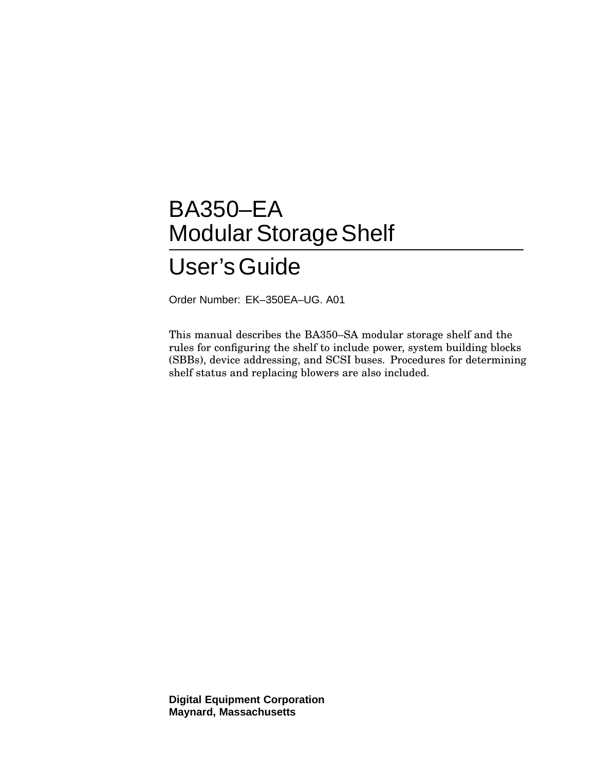# BA350–EA Modular Storage Shelf User'sGuide

Order Number: EK–350EA–UG. A01

This manual describes the BA350–SA modular storage shelf and the rules for configuring the shelf to include power, system building blocks (SBBs), device addressing, and SCSI buses. Procedures for determining shelf status and replacing blowers are also included.

**Digital Equipment Corporation Maynard, Massachusetts**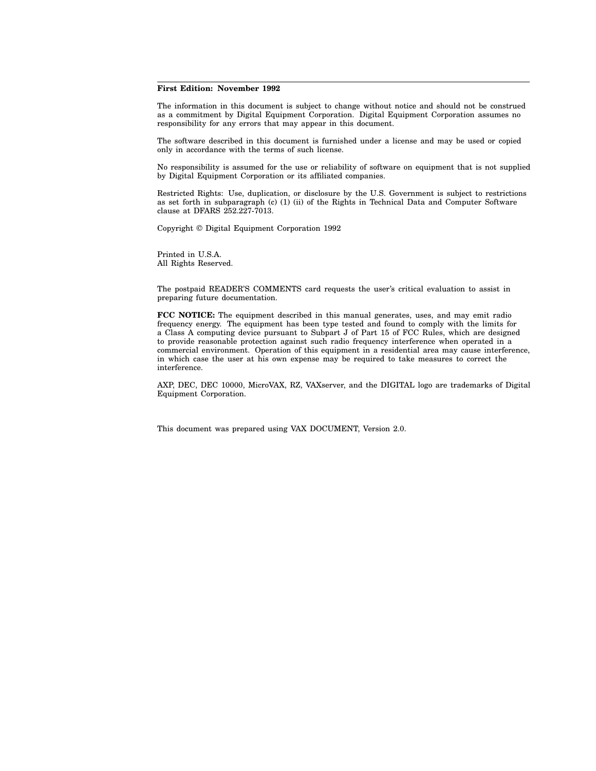#### **First Edition: November 1992**

The information in this document is subject to change without notice and should not be construed as a commitment by Digital Equipment Corporation. Digital Equipment Corporation assumes no responsibility for any errors that may appear in this document.

The software described in this document is furnished under a license and may be used or copied only in accordance with the terms of such license.

No responsibility is assumed for the use or reliability of software on equipment that is not supplied by Digital Equipment Corporation or its affiliated companies.

Restricted Rights: Use, duplication, or disclosure by the U.S. Government is subject to restrictions as set forth in subparagraph (c) (1) (ii) of the Rights in Technical Data and Computer Software clause at DFARS 252.227-7013.

Copyright © Digital Equipment Corporation 1992

Printed in U.S.A. All Rights Reserved.

The postpaid READER'S COMMENTS card requests the user's critical evaluation to assist in preparing future documentation.

**FCC NOTICE:** The equipment described in this manual generates, uses, and may emit radio frequency energy. The equipment has been type tested and found to comply with the limits for a Class A computing device pursuant to Subpart J of Part 15 of FCC Rules, which are designed to provide reasonable protection against such radio frequency interference when operated in a commercial environment. Operation of this equipment in a residential area may cause interference, in which case the user at his own expense may be required to take measures to correct the interference.

AXP, DEC, DEC 10000, MicroVAX, RZ, VAXserver, and the DIGITAL logo are trademarks of Digital Equipment Corporation.

This document was prepared using VAX DOCUMENT, Version 2.0.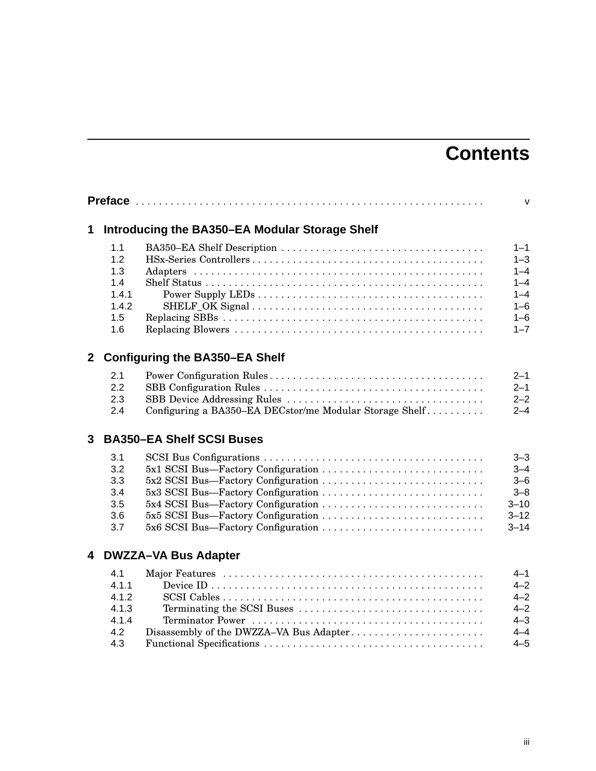# **Contents**

|              | <b>Preface</b>                                           |                                                                                                                                                      | $\mathsf{V}$                                                                         |
|--------------|----------------------------------------------------------|------------------------------------------------------------------------------------------------------------------------------------------------------|--------------------------------------------------------------------------------------|
| 1            |                                                          | Introducing the BA350-EA Modular Storage Shelf                                                                                                       |                                                                                      |
|              | 1.1<br>1.2<br>1.3<br>1.4<br>1.4.1<br>1.4.2<br>1.5<br>1.6 |                                                                                                                                                      | $1 - 1$<br>$1 - 3$<br>$1 - 4$<br>$1 - 4$<br>$1 - 4$<br>$1 - 6$<br>$1 - 6$<br>$1 - 7$ |
| $\mathbf{2}$ |                                                          | <b>Configuring the BA350-EA Shelf</b>                                                                                                                |                                                                                      |
|              | 2.1<br>2.2<br>2.3<br>2.4                                 | Configuring a BA350–EA DECstor/me Modular Storage Shelf                                                                                              | $2 - 1$<br>$2 - 1$<br>$2 - 2$<br>$2 - 4$                                             |
| 3            |                                                          | <b>BA350-EA Shelf SCSI Buses</b>                                                                                                                     |                                                                                      |
|              | 3.1<br>3.2<br>3.3<br>3.4<br>3.5<br>3.6<br>3.7            | 5x1 SCSI Bus-Factory Configuration<br>5x4 SCSI Bus-Factory Configuration<br>5x5 SCSI Bus—Factory Configuration<br>5x6 SCSI Bus—Factory Configuration | $3 - 3$<br>$3 - 4$<br>$3 - 6$<br>$3 - 8$<br>$3 - 10$<br>$3 - 12$<br>$3 - 14$         |
| 4            |                                                          | <b>DWZZA-VA Bus Adapter</b>                                                                                                                          |                                                                                      |
|              | 4.1<br>4.1.1<br>4.1.2<br>4.1.3<br>4.1.4<br>4.2<br>4.3    | Disassembly of the DWZZA-VA Bus Adapter                                                                                                              | $4 - 1$<br>$4 - 2$<br>$4 - 2$<br>$4 - 2$<br>$4 - 3$<br>$4 - 4$<br>$4 - 5$            |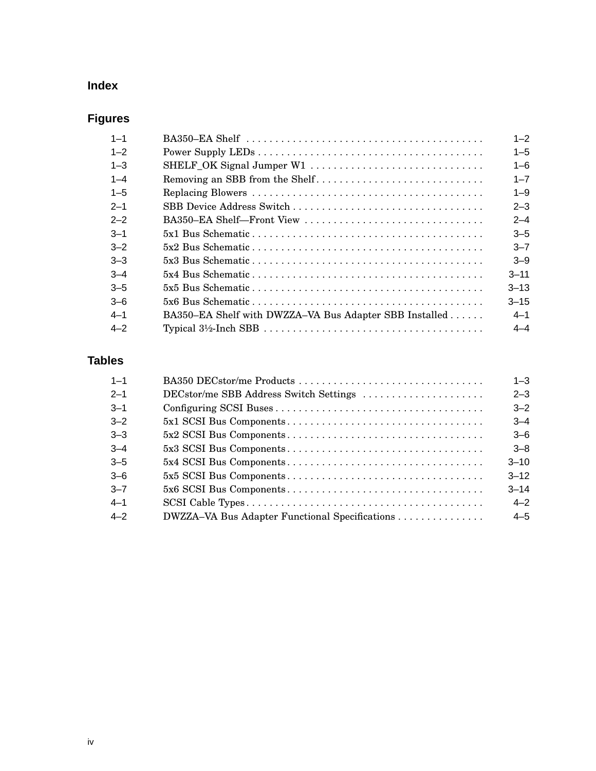# **Index**

# **Figures**

| $1 - 1$ | BA350–EA Shelf $\dots\dots\dots\dots\dots\dots\dots\dots\dots\dots\dots\dots\dots\dots\dots\dots$ | $1 - 2$  |
|---------|---------------------------------------------------------------------------------------------------|----------|
| $1 - 2$ |                                                                                                   | $1 - 5$  |
| $1 - 3$ | SHELF_OK Signal Jumper W1                                                                         | $1 - 6$  |
| $1 - 4$ | Removing an SBB from the Shelf                                                                    | $1 - 7$  |
| $1 - 5$ |                                                                                                   | $1 - 9$  |
| $2 - 1$ | SBB Device Address Switch                                                                         | $2 - 3$  |
| $2 - 2$ | BA350–EA Shelf–Front View                                                                         | $2 - 4$  |
| $3 - 1$ |                                                                                                   | $3 - 5$  |
| $3 - 2$ |                                                                                                   | $3 - 7$  |
| $3 - 3$ |                                                                                                   | $3 - 9$  |
| $-4$    |                                                                                                   | $3 - 11$ |
| $3 - 5$ |                                                                                                   | $3 - 13$ |
| $3-6$   |                                                                                                   | $3 - 15$ |
| $4 - 1$ | BA350–EA Shelf with DWZZA–VA Bus Adapter SBB Installed                                            | $4 - 1$  |
| $4 - 2$ |                                                                                                   | $4 - 4$  |

# **Tables**

| $1 - 1$ |                                                | $1 - 3$  |
|---------|------------------------------------------------|----------|
| $2 - 1$ | DECstor/me SBB Address Switch Settings         | $2 - 3$  |
| $3 - 1$ |                                                | $3 - 2$  |
| $3 - 2$ |                                                | $-4$     |
| $3 - 3$ |                                                | $3-6$    |
| $3 - 4$ |                                                | $3 - 8$  |
| $3 - 5$ |                                                | $3 - 10$ |
| $3 - 6$ |                                                | $3 - 12$ |
| $3 - 7$ |                                                | $3 - 14$ |
| $4 - 1$ |                                                | $4 - 2$  |
| $4 - 2$ | DWZZA-VA Bus Adapter Functional Specifications | $4 - 5$  |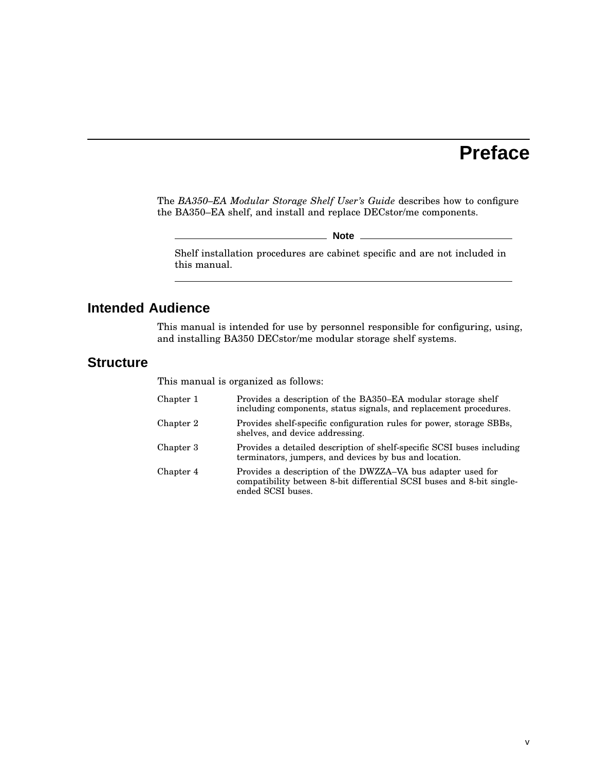# **Preface**

The *BA350–EA Modular Storage Shelf User's Guide* describes how to configure the BA350–EA shelf, and install and replace DECstor/me components.

**Note**

Shelf installation procedures are cabinet specific and are not included in this manual.

# **Intended Audience**

This manual is intended for use by personnel responsible for configuring, using, and installing BA350 DECstor/me modular storage shelf systems.

# **Structure**

This manual is organized as follows:

| Chapter 1 | Provides a description of the BA350-EA modular storage shelf<br>including components, status signals, and replacement procedures.                         |
|-----------|-----------------------------------------------------------------------------------------------------------------------------------------------------------|
| Chapter 2 | Provides shelf-specific configuration rules for power, storage SBBs,<br>shelves, and device addressing.                                                   |
| Chapter 3 | Provides a detailed description of shelf-specific SCSI buses including<br>terminators, jumpers, and devices by bus and location.                          |
| Chapter 4 | Provides a description of the DWZZA–VA bus adapter used for<br>compatibility between 8-bit differential SCSI buses and 8-bit single-<br>ended SCSI buses. |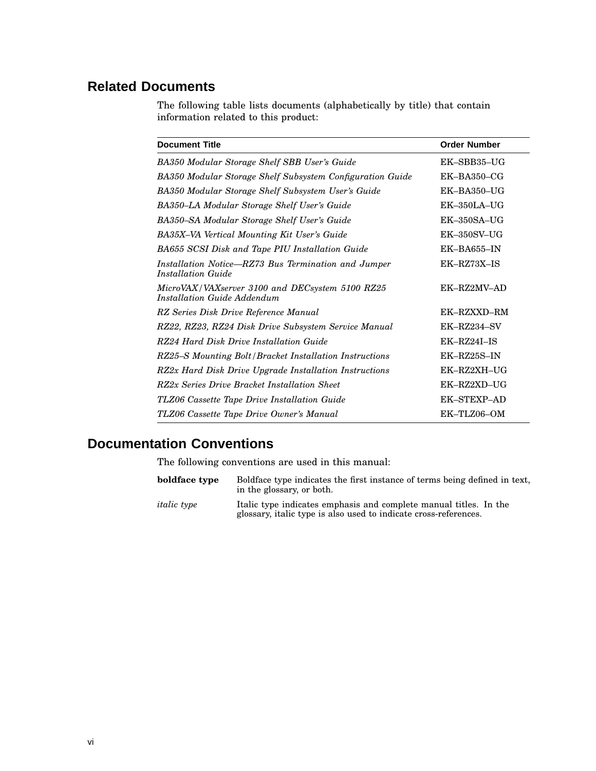# **Related Documents**

The following table lists documents (alphabetically by title) that contain information related to this product:

| <b>Document Title</b>                                                          | <b>Order Number</b> |
|--------------------------------------------------------------------------------|---------------------|
| BA350 Modular Storage Shelf SBB User's Guide                                   | EK-SBB35-UG         |
| BA350 Modular Storage Shelf Subsystem Configuration Guide                      | $EK-BA350-CG$       |
| BA350 Modular Storage Shelf Subsystem User's Guide                             | $EK-BA350-UG$       |
| BA350-LA Modular Storage Shelf User's Guide                                    | $EK-350LA-UG$       |
| BA350–SA Modular Storage Shelf User's Guide                                    | $EK-350SA-JJG$      |
| BA35X-VA Vertical Mounting Kit User's Guide                                    | <b>EK-350SV-UG</b>  |
| BA655 SCSI Disk and Tape PIU Installation Guide                                | $EK-BA655-N$        |
| Installation Notice–RZ73 Bus Termination and Jumper<br>Installation Guide      | EK-RZ73X-IS         |
| MicroVAX/VAXserver 3100 and DECsystem 5100 RZ25<br>Installation Guide Addendum | EK-RZ2MV-AD         |
| RZ Series Disk Drive Reference Manual                                          | EK-RZXXD-RM         |
| RZ22, RZ23, RZ24 Disk Drive Subsystem Service Manual                           | EK-RZ234-SV         |
| RZ24 Hard Disk Drive Installation Guide                                        | EK-RZ24I-IS         |
| RZ25–S Mounting Bolt/Bracket Installation Instructions                         | EK-RZ25S-IN         |
| RZ2x Hard Disk Drive Upgrade Installation Instructions                         | EK-RZ2XH-UG         |
| RZ2x Series Drive Bracket Installation Sheet                                   | EK-RZ2XD-UG         |
| TLZ06 Cassette Tape Drive Installation Guide                                   | <b>EK-STEXP-AD</b>  |
| TLZ06 Cassette Tape Drive Owner's Manual                                       | EK-TLZ06-OM         |

# **Documentation Conventions**

The following conventions are used in this manual:

| boldface type      | Boldface type indicates the first instance of terms being defined in text.<br>in the glossary, or both.                               |
|--------------------|---------------------------------------------------------------------------------------------------------------------------------------|
| <i>italic</i> type | Italic type indicates emphasis and complete manual titles. In the<br>glossary, italic type is also used to indicate cross-references. |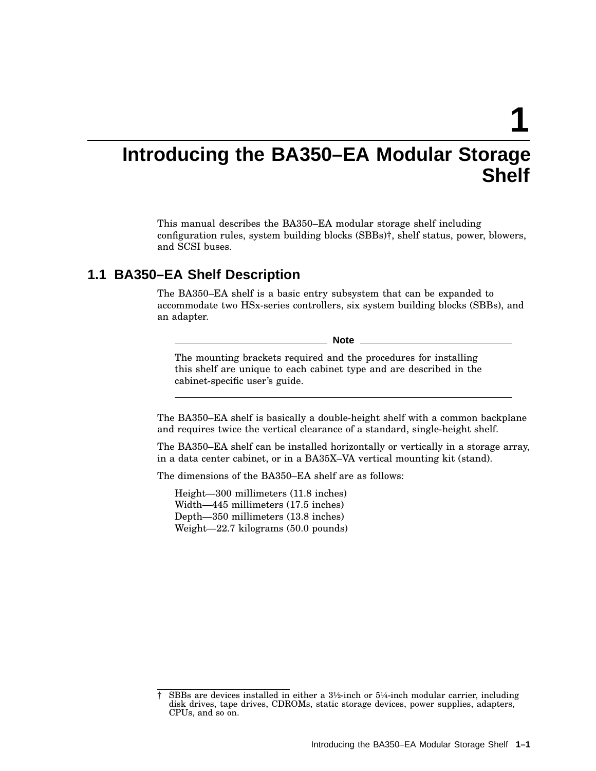**1**

# **Introducing the BA350–EA Modular Storage Shelf**

This manual describes the BA350–EA modular storage shelf including configuration rules, system building blocks (SBBs)†, shelf status, power, blowers, and SCSI buses.

# **1.1 BA350–EA Shelf Description**

The BA350–EA shelf is a basic entry subsystem that can be expanded to accommodate two HSx-series controllers, six system building blocks (SBBs), and an adapter.

**Note**

The mounting brackets required and the procedures for installing this shelf are unique to each cabinet type and are described in the cabinet-specific user's guide.

The BA350–EA shelf is basically a double-height shelf with a common backplane and requires twice the vertical clearance of a standard, single-height shelf.

The BA350–EA shelf can be installed horizontally or vertically in a storage array, in a data center cabinet, or in a BA35X–VA vertical mounting kit (stand).

The dimensions of the BA350–EA shelf are as follows:

Height—300 millimeters (11.8 inches) Width—445 millimeters (17.5 inches) Depth—350 millimeters (13.8 inches) Weight—22.7 kilograms (50.0 pounds)

<sup>†</sup> SBBs are devices installed in either a 3½-inch or 5¼-inch modular carrier, including disk drives, tape drives, CDROMs, static storage devices, power supplies, adapters, CPUs, and so on.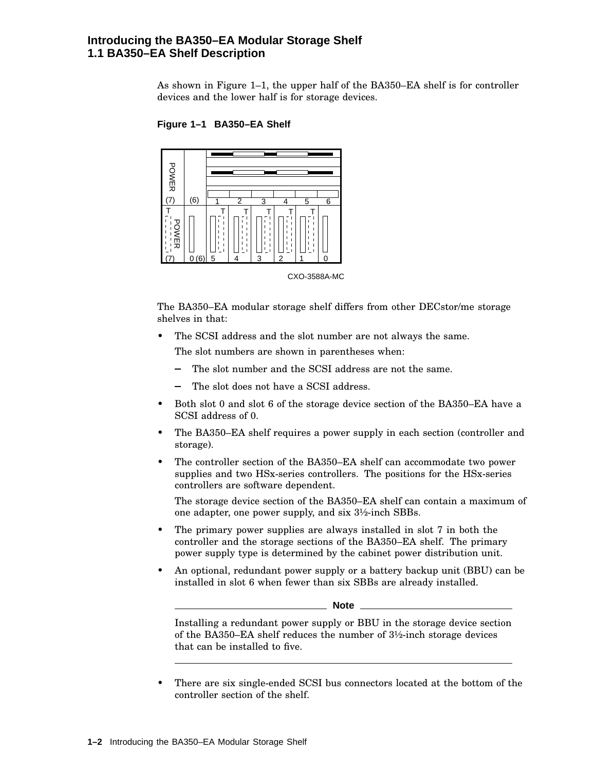### **Introducing the BA350–EA Modular Storage Shelf 1.1 BA350–EA Shelf Description**

As shown in Figure 1–1, the upper half of the BA350–EA shelf is for controller devices and the lower half is for storage devices.



**Figure 1–1 BA350–EA Shelf**

The BA350–EA modular storage shelf differs from other DECstor/me storage shelves in that:

- The SCSI address and the slot number are not always the same. The slot numbers are shown in parentheses when:
	- The slot number and the SCSI address are not the same.
	- The slot does not have a SCSI address.
- Both slot 0 and slot 6 of the storage device section of the BA350–EA have a SCSI address of 0.
- The BA350–EA shelf requires a power supply in each section (controller and storage).
- The controller section of the BA350–EA shelf can accommodate two power supplies and two HSx-series controllers. The positions for the HSx-series controllers are software dependent.

The storage device section of the BA350–EA shelf can contain a maximum of one adapter, one power supply, and six 3½-inch SBBs.

- The primary power supplies are always installed in slot 7 in both the controller and the storage sections of the BA350–EA shelf. The primary power supply type is determined by the cabinet power distribution unit.
- An optional, redundant power supply or a battery backup unit (BBU) can be installed in slot 6 when fewer than six SBBs are already installed.

**Note**

Installing a redundant power supply or BBU in the storage device section of the BA350–EA shelf reduces the number of 3½-inch storage devices that can be installed to five.

• There are six single-ended SCSI bus connectors located at the bottom of the controller section of the shelf.

CXO-3588A-MC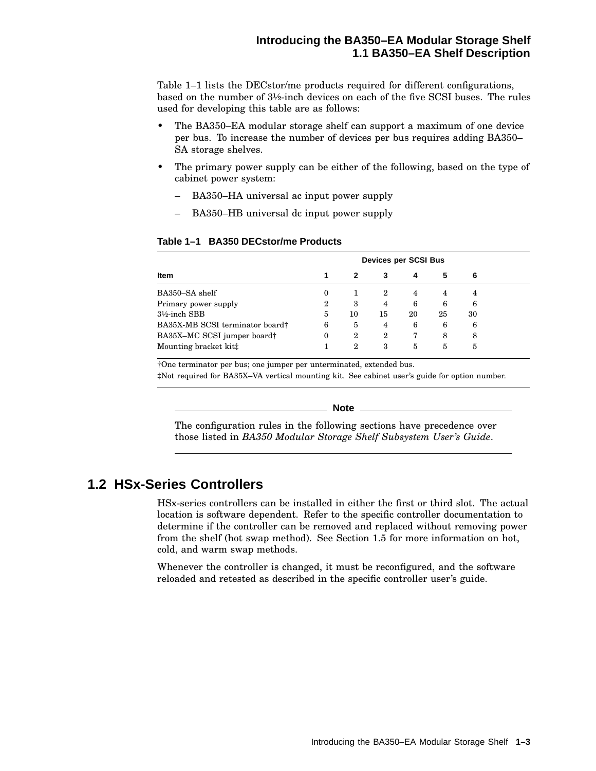Table 1–1 lists the DECstor/me products required for different configurations, based on the number of 3½-inch devices on each of the five SCSI buses. The rules used for developing this table are as follows:

- The BA350–EA modular storage shelf can support a maximum of one device per bus. To increase the number of devices per bus requires adding BA350– SA storage shelves.
- The primary power supply can be either of the following, based on the type of cabinet power system:
	- BA350–HA universal ac input power supply
	- BA350–HB universal dc input power supply

### **Table 1–1 BA350 DECstor/me Products**

|                                 |   |                  | Devices per SCSI Bus |    |    |    |  |
|---------------------------------|---|------------------|----------------------|----|----|----|--|
| Item                            |   |                  | 3                    |    | 5  | 6  |  |
| BA350-SA shelf                  | 0 |                  | 2                    | 4  | 4  | 4  |  |
| Primary power supply            | 2 | 3                | 4                    | 6  | 6  | 6  |  |
| $3\frac{1}{2}$ -inch SBB        | 5 | 10               | 15                   | 20 | 25 | 30 |  |
| BA35X-MB SCSI terminator board† | 6 | 5                | 4                    | 6  | 6  | 6  |  |
| BA35X-MC SCSI jumper board†     | 0 | $\boldsymbol{2}$ | 2                    | 7  | 8  | 8  |  |
| Mounting bracket kit‡           |   | $\boldsymbol{2}$ | 3                    | 5  | 5  | 5  |  |

†One terminator per bus; one jumper per unterminated, extended bus.

‡Not required for BA35X–VA vertical mounting kit. See cabinet user's guide for option number.

**Note**

The configuration rules in the following sections have precedence over those listed in *BA350 Modular Storage Shelf Subsystem User's Guide*.

# **1.2 HSx-Series Controllers**

HSx-series controllers can be installed in either the first or third slot. The actual location is software dependent. Refer to the specific controller documentation to determine if the controller can be removed and replaced without removing power from the shelf (hot swap method). See Section 1.5 for more information on hot, cold, and warm swap methods.

Whenever the controller is changed, it must be reconfigured, and the software reloaded and retested as described in the specific controller user's guide.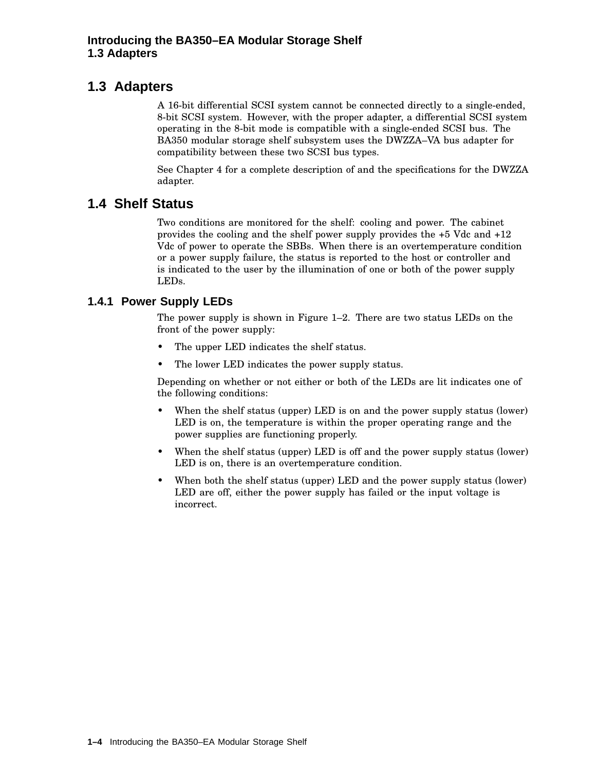# **1.3 Adapters**

A 16-bit differential SCSI system cannot be connected directly to a single-ended, 8-bit SCSI system. However, with the proper adapter, a differential SCSI system operating in the 8-bit mode is compatible with a single-ended SCSI bus. The BA350 modular storage shelf subsystem uses the DWZZA–VA bus adapter for compatibility between these two SCSI bus types.

See Chapter 4 for a complete description of and the specifications for the DWZZA adapter.

# **1.4 Shelf Status**

Two conditions are monitored for the shelf: cooling and power. The cabinet provides the cooling and the shelf power supply provides the +5 Vdc and +12 Vdc of power to operate the SBBs. When there is an overtemperature condition or a power supply failure, the status is reported to the host or controller and is indicated to the user by the illumination of one or both of the power supply LEDs.

# **1.4.1 Power Supply LEDs**

The power supply is shown in Figure 1–2. There are two status LEDs on the front of the power supply:

- The upper LED indicates the shelf status.
- The lower LED indicates the power supply status.

Depending on whether or not either or both of the LEDs are lit indicates one of the following conditions:

- When the shelf status (upper) LED is on and the power supply status (lower) LED is on, the temperature is within the proper operating range and the power supplies are functioning properly.
- When the shelf status (upper) LED is off and the power supply status (lower) LED is on, there is an overtemperature condition.
- When both the shelf status (upper) LED and the power supply status (lower) LED are off, either the power supply has failed or the input voltage is incorrect.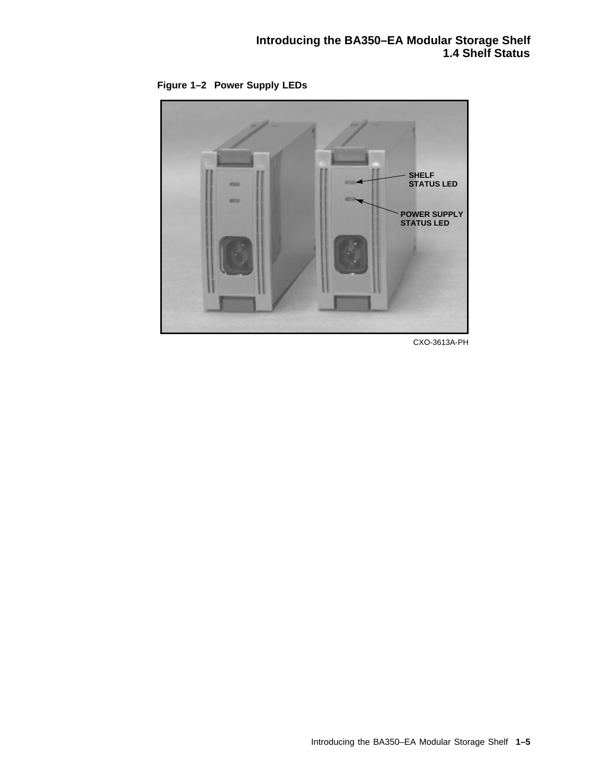**Figure 1–2 Power Supply LEDs**



CXO-3613A-PH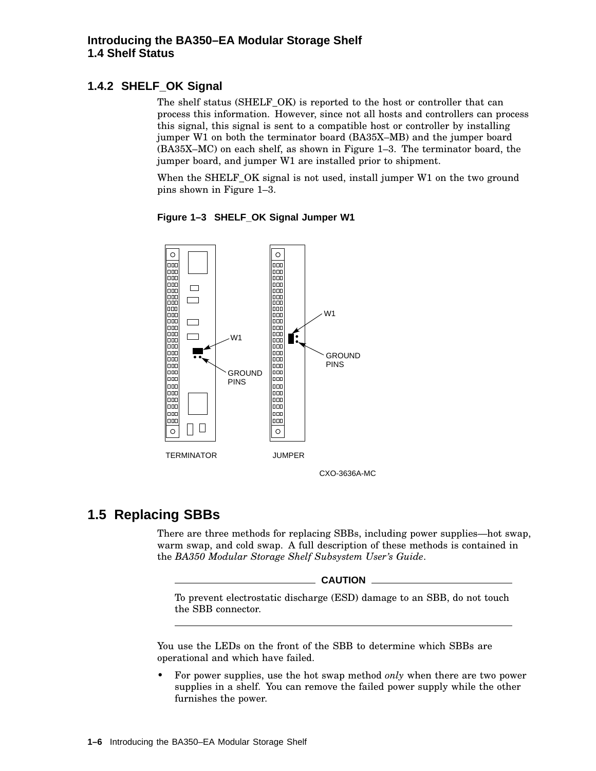# **1.4.2 SHELF\_OK Signal**

The shelf status (SHELF\_OK) is reported to the host or controller that can process this information. However, since not all hosts and controllers can process this signal, this signal is sent to a compatible host or controller by installing jumper W1 on both the terminator board (BA35X–MB) and the jumper board (BA35X–MC) on each shelf, as shown in Figure 1–3. The terminator board, the jumper board, and jumper W1 are installed prior to shipment.

When the SHELF OK signal is not used, install jumper W1 on the two ground pins shown in Figure 1–3.



**Figure 1–3 SHELF\_OK Signal Jumper W1**

# **1.5 Replacing SBBs**

There are three methods for replacing SBBs, including power supplies—hot swap, warm swap, and cold swap. A full description of these methods is contained in the *BA350 Modular Storage Shelf Subsystem User's Guide*.

**CAUTION**

To prevent electrostatic discharge (ESD) damage to an SBB, do not touch the SBB connector.

You use the LEDs on the front of the SBB to determine which SBBs are operational and which have failed.

• For power supplies, use the hot swap method *only* when there are two power supplies in a shelf. You can remove the failed power supply while the other furnishes the power.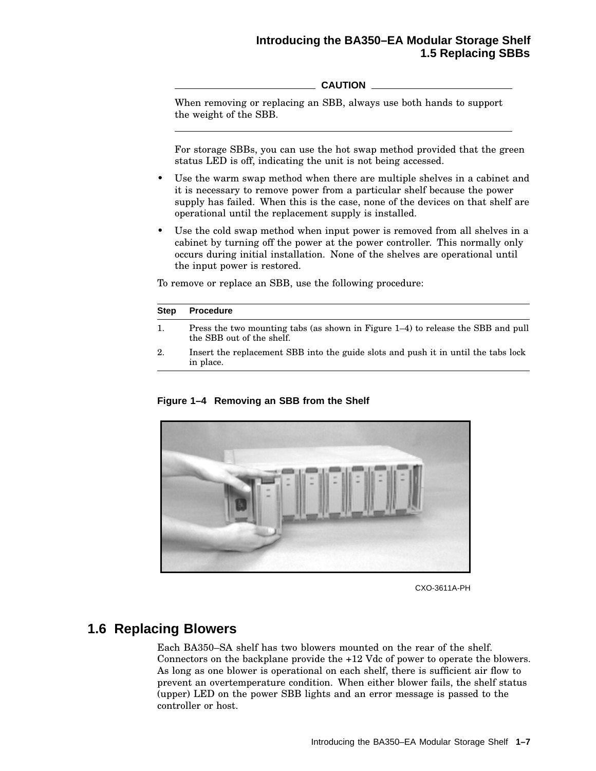### **Introducing the BA350–EA Modular Storage Shelf 1.5 Replacing SBBs**

**CAUTION**

When removing or replacing an SBB, always use both hands to support the weight of the SBB.

For storage SBBs, you can use the hot swap method provided that the green status LED is off, indicating the unit is not being accessed.

- Use the warm swap method when there are multiple shelves in a cabinet and it is necessary to remove power from a particular shelf because the power supply has failed. When this is the case, none of the devices on that shelf are operational until the replacement supply is installed.
- Use the cold swap method when input power is removed from all shelves in a cabinet by turning off the power at the power controller. This normally only occurs during initial installation. None of the shelves are operational until the input power is restored.

To remove or replace an SBB, use the following procedure:

| <b>Step</b> | <b>Procedure</b>                                                                                              |
|-------------|---------------------------------------------------------------------------------------------------------------|
| 1.          | Press the two mounting tabs (as shown in Figure 1–4) to release the SBB and pull<br>the SBB out of the shelf. |
| 2.          | Insert the replacement SBB into the guide slots and push it in until the tabs lock<br>in place.               |

### **Figure 1–4 Removing an SBB from the Shelf**



CXO-3611A-PH

# **1.6 Replacing Blowers**

Each BA350–SA shelf has two blowers mounted on the rear of the shelf. Connectors on the backplane provide the +12 Vdc of power to operate the blowers. As long as one blower is operational on each shelf, there is sufficient air flow to prevent an overtemperature condition. When either blower fails, the shelf status (upper) LED on the power SBB lights and an error message is passed to the controller or host.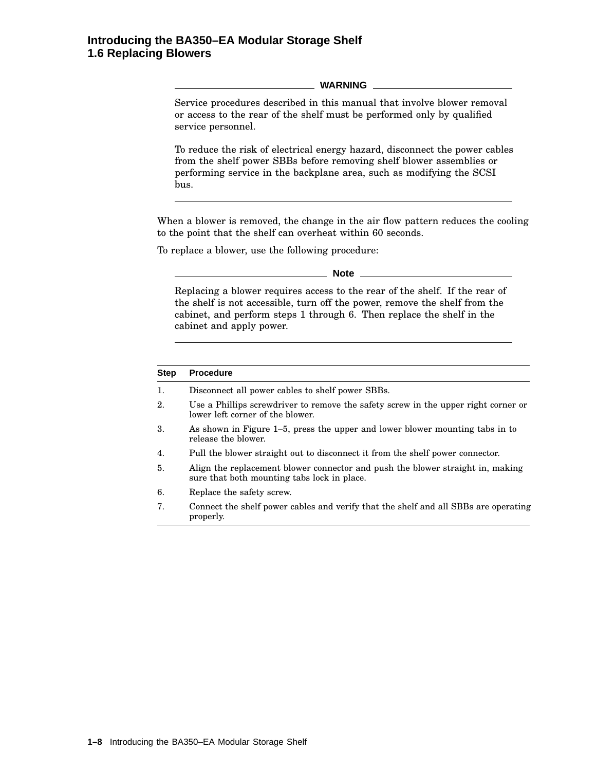#### **WARNING**

Service procedures described in this manual that involve blower removal or access to the rear of the shelf must be performed only by qualified service personnel.

To reduce the risk of electrical energy hazard, disconnect the power cables from the shelf power SBBs before removing shelf blower assemblies or performing service in the backplane area, such as modifying the SCSI bus.

When a blower is removed, the change in the air flow pattern reduces the cooling to the point that the shelf can overheat within 60 seconds.

To replace a blower, use the following procedure:

**Note**

Replacing a blower requires access to the rear of the shelf. If the rear of the shelf is not accessible, turn off the power, remove the shelf from the cabinet, and perform steps 1 through 6. Then replace the shelf in the cabinet and apply power.

# **Step Procedure** 1. Disconnect all power cables to shelf power SBBs. 2. Use a Phillips screwdriver to remove the safety screw in the upper right corner or lower left corner of the blower. 3. As shown in Figure 1–5, press the upper and lower blower mounting tabs in to release the blower. 4. Pull the blower straight out to disconnect it from the shelf power connector. 5. Align the replacement blower connector and push the blower straight in, making sure that both mounting tabs lock in place. 6. Replace the safety screw. 7. Connect the shelf power cables and verify that the shelf and all SBBs are operating properly.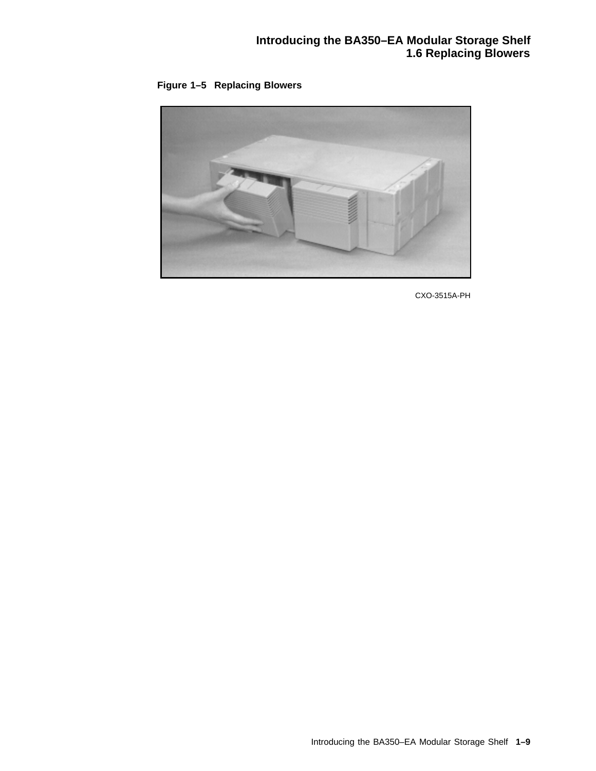



CXO-3515A-PH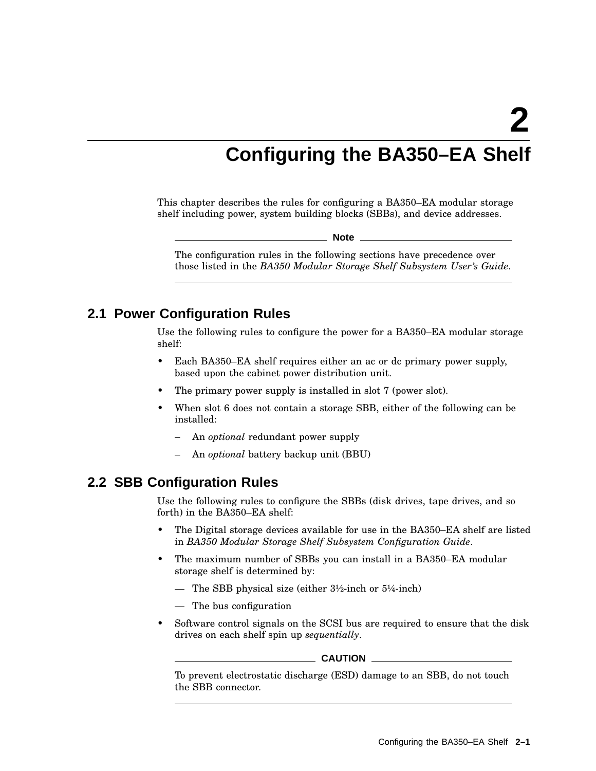# **Configuring the BA350–EA Shelf**

This chapter describes the rules for configuring a BA350–EA modular storage shelf including power, system building blocks (SBBs), and device addresses.

**Note**

The configuration rules in the following sections have precedence over those listed in the *BA350 Modular Storage Shelf Subsystem User's Guide*.

# **2.1 Power Configuration Rules**

Use the following rules to configure the power for a BA350–EA modular storage shelf:

- Each BA350–EA shelf requires either an ac or dc primary power supply, based upon the cabinet power distribution unit.
- The primary power supply is installed in slot 7 (power slot).
- When slot 6 does not contain a storage SBB, either of the following can be installed:
	- An *optional* redundant power supply
	- An *optional* battery backup unit (BBU)

# **2.2 SBB Configuration Rules**

Use the following rules to configure the SBBs (disk drives, tape drives, and so forth) in the BA350–EA shelf:

- The Digital storage devices available for use in the BA350–EA shelf are listed in *BA350 Modular Storage Shelf Subsystem Configuration Guide*.
- The maximum number of SBBs you can install in a BA350–EA modular storage shelf is determined by:
	- The SBB physical size (either  $3\frac{1}{2}$ -inch or  $5\frac{1}{4}$ -inch)
	- The bus configuration
- Software control signals on the SCSI bus are required to ensure that the disk drives on each shelf spin up *sequentially*.

#### $\_$  CAUTION  $\_$

To prevent electrostatic discharge (ESD) damage to an SBB, do not touch the SBB connector.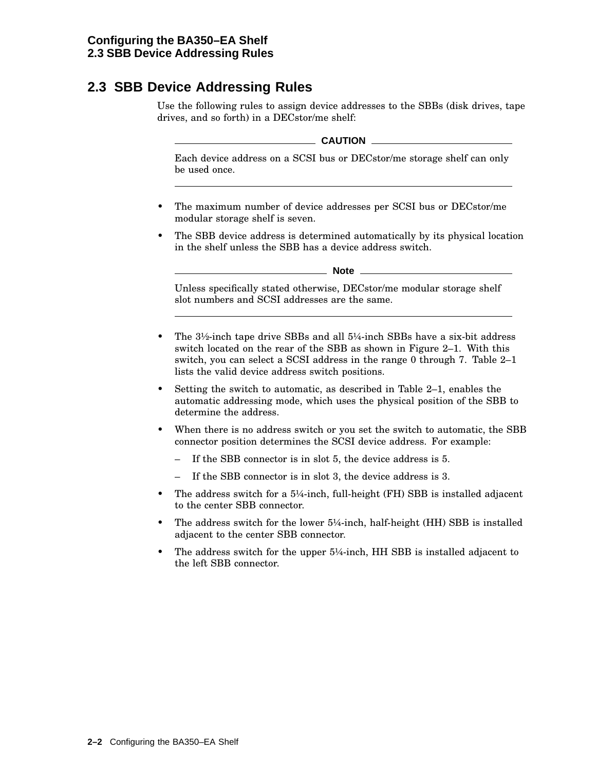# **2.3 SBB Device Addressing Rules**

Use the following rules to assign device addresses to the SBBs (disk drives, tape drives, and so forth) in a DECstor/me shelf:

### **CAUTION**

Each device address on a SCSI bus or DECstor/me storage shelf can only be used once.

- The maximum number of device addresses per SCSI bus or DECstor/me modular storage shelf is seven.
- The SBB device address is determined automatically by its physical location in the shelf unless the SBB has a device address switch.

**Note**

Unless specifically stated otherwise, DECstor/me modular storage shelf slot numbers and SCSI addresses are the same.

- The 3½-inch tape drive SBBs and all 5¼-inch SBBs have a six-bit address switch located on the rear of the SBB as shown in Figure 2–1. With this switch, you can select a SCSI address in the range 0 through 7. Table 2–1 lists the valid device address switch positions.
- Setting the switch to automatic, as described in Table 2–1, enables the automatic addressing mode, which uses the physical position of the SBB to determine the address.
- When there is no address switch or you set the switch to automatic, the SBB connector position determines the SCSI device address. For example:
	- If the SBB connector is in slot 5, the device address is 5.
	- If the SBB connector is in slot 3, the device address is 3.
- The address switch for a  $5\frac{1}{4}$ -inch, full-height (FH) SBB is installed adjacent to the center SBB connector.
- The address switch for the lower 5¼-inch, half-height (HH) SBB is installed adjacent to the center SBB connector.
- The address switch for the upper  $5\frac{1}{4}$ -inch, HH SBB is installed adjacent to the left SBB connector.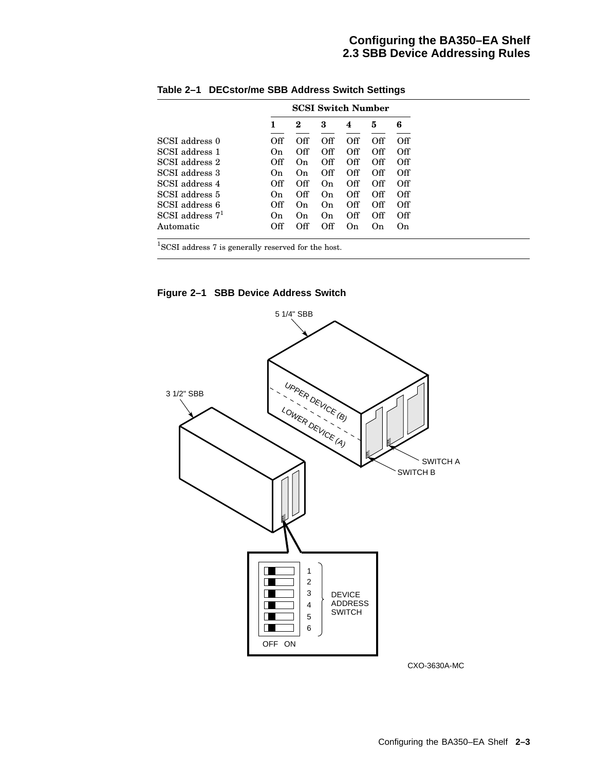### **Configuring the BA350–EA Shelf 2.3 SBB Device Addressing Rules**

|                     | <b>SCSI Switch Number</b> |             |     |     |     |     |
|---------------------|---------------------------|-------------|-----|-----|-----|-----|
|                     |                           | 2           | 3   | 4   | 5   | 6   |
| SCSI address 0      | Off                       | Off         | Off | Off | Off | Off |
| SCSI address 1      | On.                       | Off         | Off | Off | Off | Off |
| SCSI address 2      | Off                       | $_{\rm On}$ | Off | Off | Off | Off |
| SCSI address 3      | On                        | On          | Off | Off | Off | Off |
| SCSI address 4      | Off                       | Off         | On  | Off | Off | Off |
| SCSI address 5      | On.                       | Off         | On  | Off | Off | Off |
| SCSI address 6      | Off                       | On          | On  | Off | Off | Off |
| $SCSI$ address $71$ | On.                       | On          | On. | Off | Off | Off |
| Automatic           | Off                       | Off         | Off | On  | On  | On  |

**Table 2–1 DECstor/me SBB Address Switch Settings**

<sup>1</sup>SCSI address 7 is generally reserved for the host.

**Figure 2–1 SBB Device Address Switch**



CXO-3630A-MC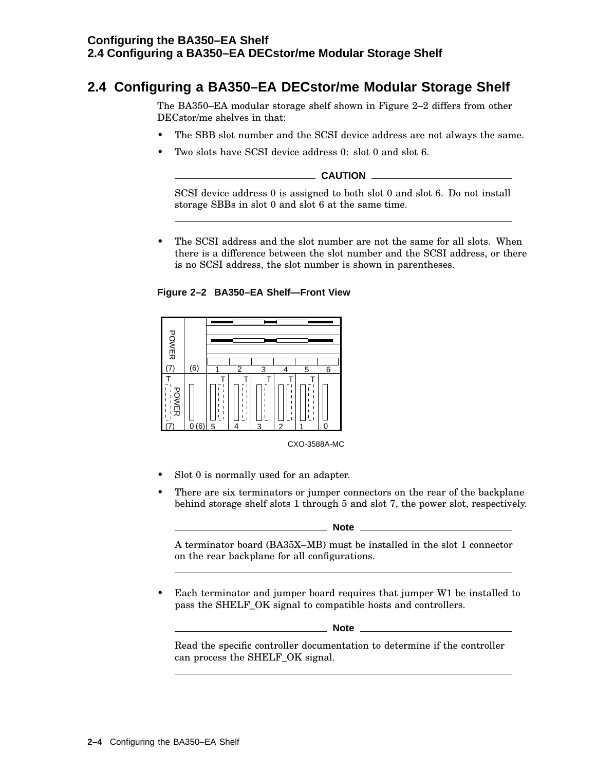### **Configuring the BA350–EA Shelf 2.4 Configuring a BA350–EA DECstor/me Modular Storage Shelf**

# **2.4 Configuring a BA350–EA DECstor/me Modular Storage Shelf**

The BA350–EA modular storage shelf shown in Figure 2–2 differs from other DECstor/me shelves in that:

- The SBB slot number and the SCSI device address are not always the same.
- Two slots have SCSI device address 0: slot 0 and slot 6.

**CAUTION**

SCSI device address 0 is assigned to both slot 0 and slot 6. Do not install storage SBBs in slot 0 and slot 6 at the same time.

The SCSI address and the slot number are not the same for all slots. When there is a difference between the slot number and the SCSI address, or there is no SCSI address, the slot number is shown in parentheses.





CXO-3588A-MC

- Slot 0 is normally used for an adapter.
- There are six terminators or jumper connectors on the rear of the backplane behind storage shelf slots 1 through 5 and slot 7, the power slot, respectively.

**Note**

A terminator board (BA35X–MB) must be installed in the slot 1 connector on the rear backplane for all configurations.

Each terminator and jumper board requires that jumper W1 be installed to pass the SHELF\_OK signal to compatible hosts and controllers.

**Note**

Read the specific controller documentation to determine if the controller can process the SHELF\_OK signal.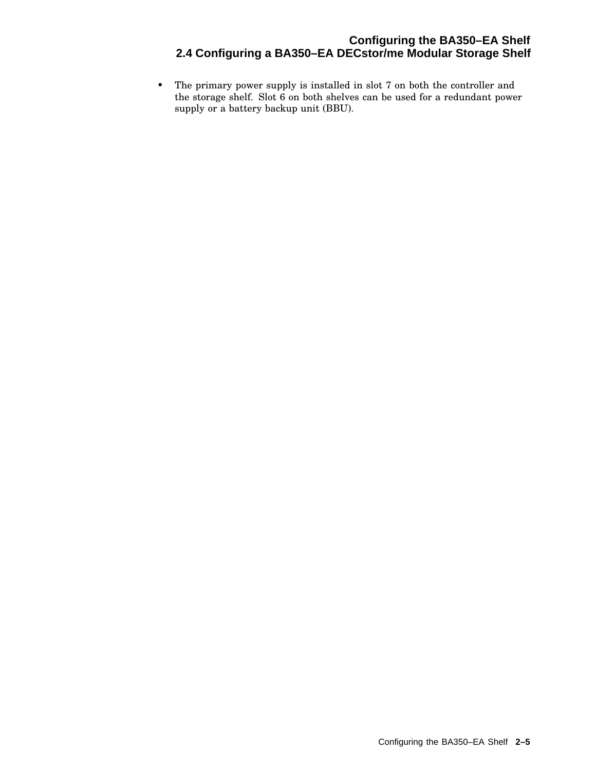# **Configuring the BA350–EA Shelf 2.4 Configuring a BA350–EA DECstor/me Modular Storage Shelf**

• The primary power supply is installed in slot 7 on both the controller and the storage shelf. Slot 6 on both shelves can be used for a redundant power supply or a battery backup unit (BBU).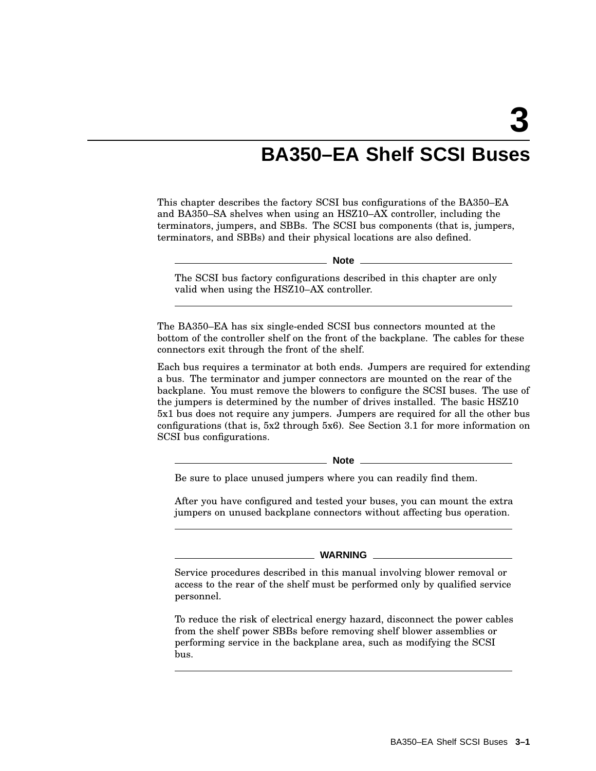# **BA350–EA Shelf SCSI Buses**

This chapter describes the factory SCSI bus configurations of the BA350–EA and BA350–SA shelves when using an HSZ10–AX controller, including the terminators, jumpers, and SBBs. The SCSI bus components (that is, jumpers, terminators, and SBBs) and their physical locations are also defined.

**Note**

The SCSI bus factory configurations described in this chapter are only valid when using the HSZ10–AX controller.

The BA350–EA has six single-ended SCSI bus connectors mounted at the bottom of the controller shelf on the front of the backplane. The cables for these connectors exit through the front of the shelf.

Each bus requires a terminator at both ends. Jumpers are required for extending a bus. The terminator and jumper connectors are mounted on the rear of the backplane. You must remove the blowers to configure the SCSI buses. The use of the jumpers is determined by the number of drives installed. The basic HSZ10 5x1 bus does not require any jumpers. Jumpers are required for all the other bus configurations (that is, 5x2 through 5x6). See Section 3.1 for more information on SCSI bus configurations.

**Note** 

Be sure to place unused jumpers where you can readily find them.

After you have configured and tested your buses, you can mount the extra jumpers on unused backplane connectors without affecting bus operation.

**WARNING**

Service procedures described in this manual involving blower removal or access to the rear of the shelf must be performed only by qualified service personnel.

To reduce the risk of electrical energy hazard, disconnect the power cables from the shelf power SBBs before removing shelf blower assemblies or performing service in the backplane area, such as modifying the SCSI bus.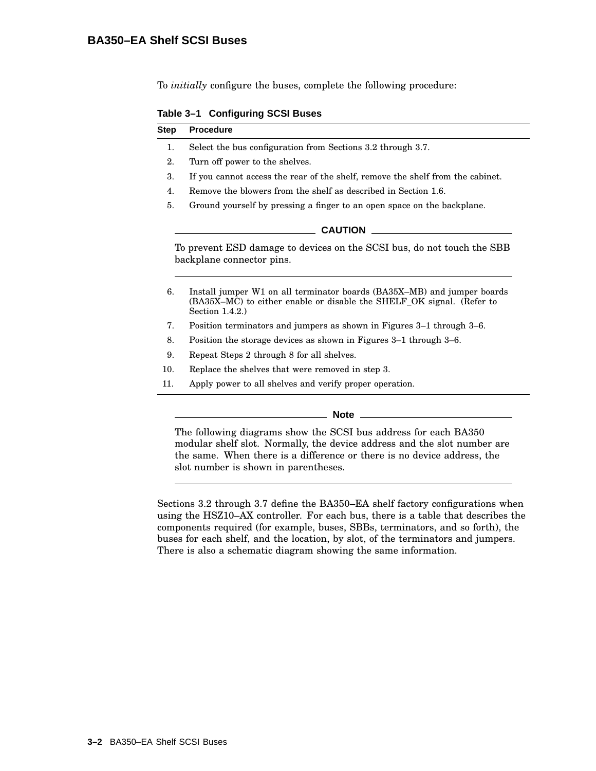To *initially* configure the buses, complete the following procedure:

**Table 3–1 Configuring SCSI Buses**

| Step | <b>Procedure</b>                                                                                                                                                     |
|------|----------------------------------------------------------------------------------------------------------------------------------------------------------------------|
| 1.   | Select the bus configuration from Sections 3.2 through 3.7.                                                                                                          |
| 2.   | Turn off power to the shelves.                                                                                                                                       |
| 3.   | If you cannot access the rear of the shelf, remove the shelf from the cabinet.                                                                                       |
| 4.   | Remove the blowers from the shelf as described in Section 1.6.                                                                                                       |
| 5.   | Ground yourself by pressing a finger to an open space on the backplane.                                                                                              |
|      | <b>CAUTION</b>                                                                                                                                                       |
|      | To prevent ESD damage to devices on the SCSI bus, do not touch the SBB<br>backplane connector pins.                                                                  |
| 6.   | Install jumper W1 on all terminator boards (BA35X–MB) and jumper boards<br>(BA35X–MC) to either enable or disable the SHELF OK signal. (Refer to<br>Section $1.4.2.$ |
| 7.   | Position terminators and jumpers as shown in Figures 3–1 through 3–6.                                                                                                |
| 8.   | Position the storage devices as shown in Figures 3–1 through 3–6.                                                                                                    |
| 9.   | Repeat Steps 2 through 8 for all shelves.                                                                                                                            |
|      |                                                                                                                                                                      |

10. Replace the shelves that were removed in step 3.

11. Apply power to all shelves and verify proper operation.

#### **Note**

The following diagrams show the SCSI bus address for each BA350 modular shelf slot. Normally, the device address and the slot number are the same. When there is a difference or there is no device address, the slot number is shown in parentheses.

Sections 3.2 through 3.7 define the BA350–EA shelf factory configurations when using the HSZ10–AX controller. For each bus, there is a table that describes the components required (for example, buses, SBBs, terminators, and so forth), the buses for each shelf, and the location, by slot, of the terminators and jumpers. There is also a schematic diagram showing the same information.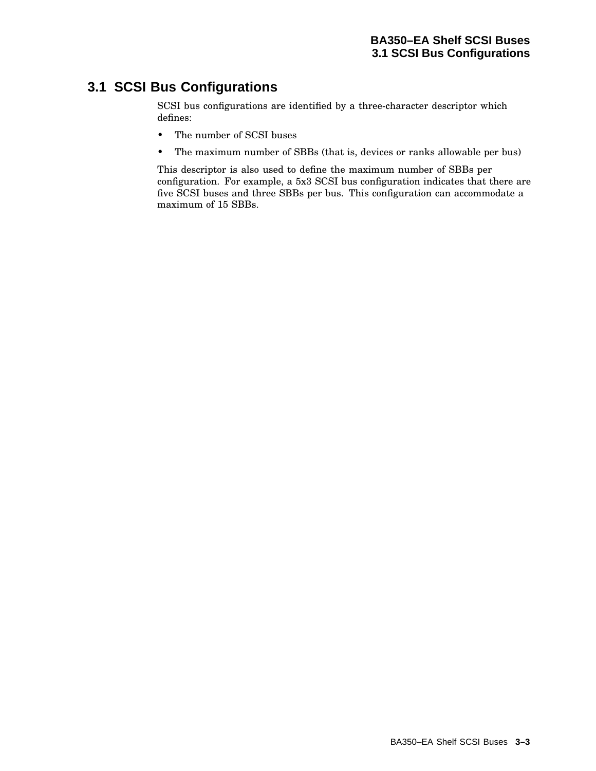# **3.1 SCSI Bus Configurations**

SCSI bus configurations are identified by a three-character descriptor which defines:

- The number of SCSI buses
- The maximum number of SBBs (that is, devices or ranks allowable per bus)

This descriptor is also used to define the maximum number of SBBs per configuration. For example, a 5x3 SCSI bus configuration indicates that there are five SCSI buses and three SBBs per bus. This configuration can accommodate a maximum of 15 SBBs.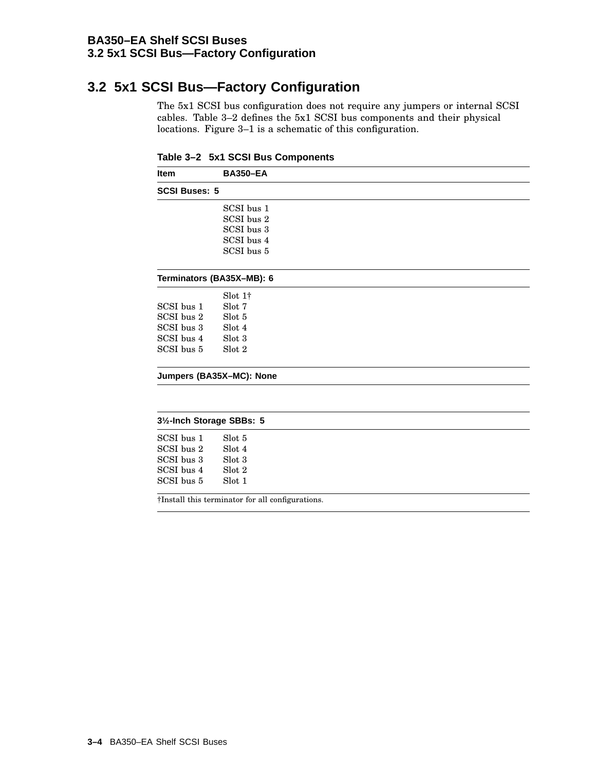### **BA350–EA Shelf SCSI Buses 3.2 5x1 SCSI Bus—Factory Configuration**

# **3.2 5x1 SCSI Bus—Factory Configuration**

The 5x1 SCSI bus configuration does not require any jumpers or internal SCSI cables. Table 3–2 defines the 5x1 SCSI bus components and their physical locations. Figure 3–1 is a schematic of this configuration.

| Table 3-2 5x1 SCSI Bus Components |  |  |  |  |
|-----------------------------------|--|--|--|--|
|-----------------------------------|--|--|--|--|

| <b>Item</b>               | <b>BA350-EA</b>                                  |  |  |  |  |  |
|---------------------------|--------------------------------------------------|--|--|--|--|--|
| <b>SCSI Buses: 5</b>      |                                                  |  |  |  |  |  |
|                           | SCSI bus 1                                       |  |  |  |  |  |
|                           | SCSI bus 2                                       |  |  |  |  |  |
|                           | SCSI bus 3                                       |  |  |  |  |  |
|                           | SCSI bus 4                                       |  |  |  |  |  |
|                           | SCSI bus 5                                       |  |  |  |  |  |
|                           | Terminators (BA35X-MB): 6                        |  |  |  |  |  |
|                           | $\mathrm{Slot} 1\dagger$                         |  |  |  |  |  |
| SCSI bus 1                | Slot 7                                           |  |  |  |  |  |
| SCSI bus 2                | Slot 5                                           |  |  |  |  |  |
| SCSI bus 3                | Slot 4                                           |  |  |  |  |  |
| SCSI bus 4                | Slot 3                                           |  |  |  |  |  |
| SCSI bus 5                | Slot 2                                           |  |  |  |  |  |
|                           | Jumpers (BA35X-MC): None                         |  |  |  |  |  |
|                           |                                                  |  |  |  |  |  |
| 31/2-Inch Storage SBBs: 5 |                                                  |  |  |  |  |  |
| SCSI bus 1                | Slot 5                                           |  |  |  |  |  |
| SCSI bus 2                | Slot 4                                           |  |  |  |  |  |
| SCSI bus 3                | Slot 3                                           |  |  |  |  |  |
| SCSI bus 4                | Slot 2                                           |  |  |  |  |  |
| SCSI bus 5                | Slot 1                                           |  |  |  |  |  |
|                           | †Install this terminator for all configurations. |  |  |  |  |  |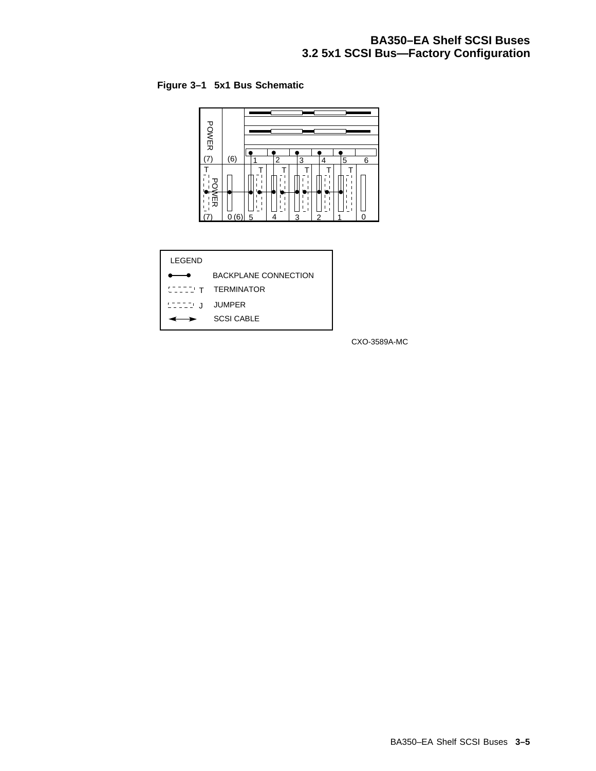# **BA350–EA Shelf SCSI Buses 3.2 5x1 SCSI Bus—Factory Configuration**

### **Figure 3–1 5x1 Bus Schematic**



| <b>BACKPLANE CONNECTION</b>                |
|--------------------------------------------|
| <b>INTIMITY TERMINATOR</b>                 |
| $L^{\perp}$ $L^{\perp}$ $L^{\perp}$ JUMPER |
| <b>SCSI CABLE</b>                          |
|                                            |

CXO-3589A-MC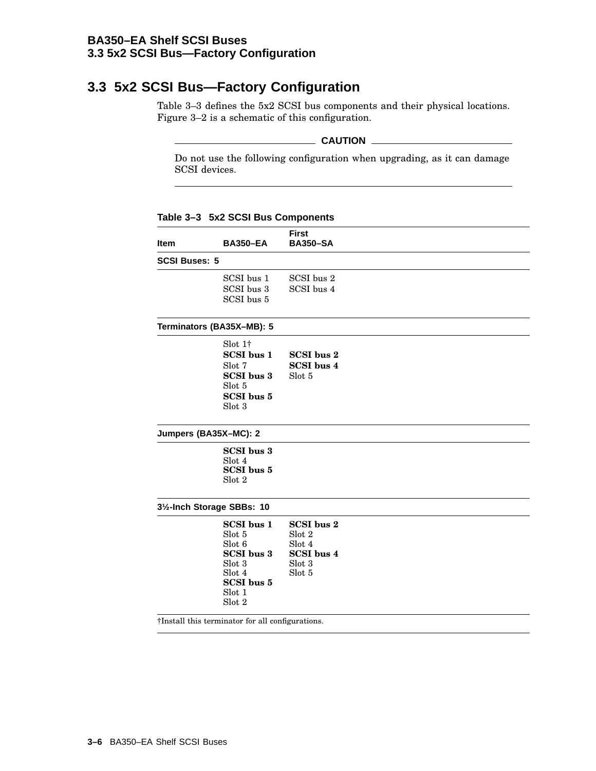### **BA350–EA Shelf SCSI Buses 3.3 5x2 SCSI Bus—Factory Configuration**

# **3.3 5x2 SCSI Bus—Factory Configuration**

Table 3–3 defines the 5x2 SCSI bus components and their physical locations. Figure 3–2 is a schematic of this configuration.

#### **CAUTION**

Do not use the following configuration when upgrading, as it can damage SCSI devices.

**Item BA350–EA First BA350–SA SCSI Buses: 5** SCSI bus 1 SCSI bus 2 SCSI bus 3 SCSI bus 4 SCSI bus 5 **Terminators (BA35X–MB): 5** Slot 1† **SCSI bus 1 SCSI bus 2** Slot 7 **SCSI bus 4 SCSI bus 3** Slot 5 Slot 5 **SCSI bus 5** Slot 3 **Jumpers (BA35X–MC): 2 SCSI bus 3** Slot 4 **SCSI bus 5** Slot 2 **3½-Inch Storage SBBs: 10 SCSI bus 1** Slot 5 Slot 6 **SCSI bus 3** Slot 3 Slot 4 **SCSI bus 5** Slot 1 Slot 2 **SCSI bus 2** Slot 2 Slot 4 **SCSI bus 4** Slot 3 Slot 5 †Install this terminator for all configurations.

**Table 3–3 5x2 SCSI Bus Components**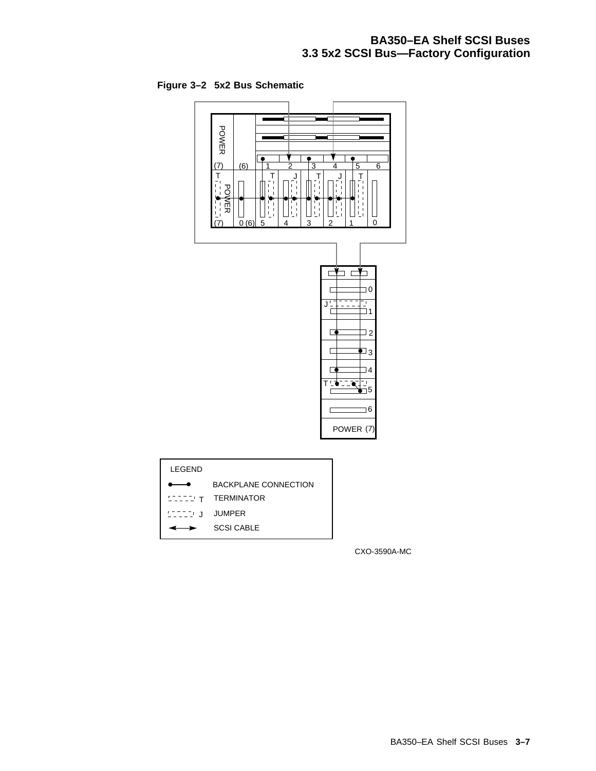# **BA350–EA Shelf SCSI Buses 3.3 5x2 SCSI Bus—Factory Configuration**

**Figure 3–2 5x2 Bus Schematic**





CXO-3590A-MC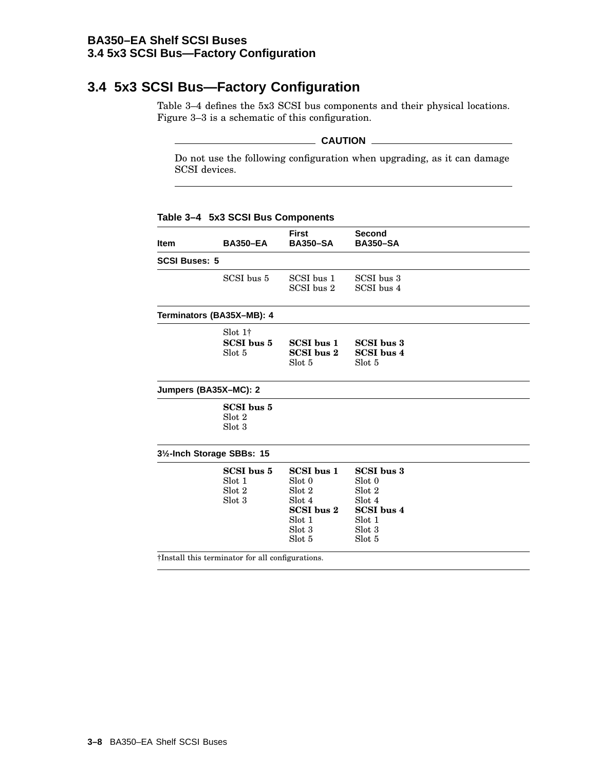### **BA350–EA Shelf SCSI Buses 3.4 5x3 SCSI Bus—Factory Configuration**

# **3.4 5x3 SCSI Bus—Factory Configuration**

Table 3–4 defines the 5x3 SCSI bus components and their physical locations. Figure 3–3 is a schematic of this configuration.

### **CAUTION**

Do not use the following configuration when upgrading, as it can damage SCSI devices.

| <b>Item</b>          | <b>BA350-EA</b>                                  | <b>First</b><br><b>BA350-SA</b>                                                             | <b>Second</b><br><b>BA350-SA</b>                                                                   |  |
|----------------------|--------------------------------------------------|---------------------------------------------------------------------------------------------|----------------------------------------------------------------------------------------------------|--|
| <b>SCSI Buses: 5</b> |                                                  |                                                                                             |                                                                                                    |  |
|                      | SCSI bus 5                                       | SCSI bus 1<br>SCSI bus 2                                                                    | SCSI bus 3<br>SCSI bus 4                                                                           |  |
|                      | Terminators (BA35X-MB): 4                        |                                                                                             |                                                                                                    |  |
|                      | $\text{Slot } 1\dagger$<br>SCSI bus 5<br>Slot 5  | SCSI bus 1<br><b>SCSI</b> bus 2<br>Slot 5                                                   | <b>SCSI</b> bus 3<br><b>SCSI</b> bus 4<br>Slot 5                                                   |  |
|                      | Jumpers (BA35X-MC): 2                            |                                                                                             |                                                                                                    |  |
|                      | SCSI bus 5<br>Slot 2<br>Slot 3                   |                                                                                             |                                                                                                    |  |
|                      | 31/ <sub>2</sub> -Inch Storage SBBs: 15          |                                                                                             |                                                                                                    |  |
|                      | SCSI bus 5<br>Slot 1<br>Slot 2<br>Slot 3         | <b>SCSI</b> bus 1<br>Slot 0<br>Slot 2<br>Slot 4<br>SCSI bus 2<br>Slot 1<br>Slot 3<br>Slot 5 | <b>SCSI</b> bus 3<br>Slot 0<br>Slot 2<br>Slot 4<br><b>SCSI</b> bus 4<br>Slot 1<br>Slot 3<br>Slot 5 |  |
|                      | †Install this terminator for all configurations. |                                                                                             |                                                                                                    |  |

**Table 3–4 5x3 SCSI Bus Components**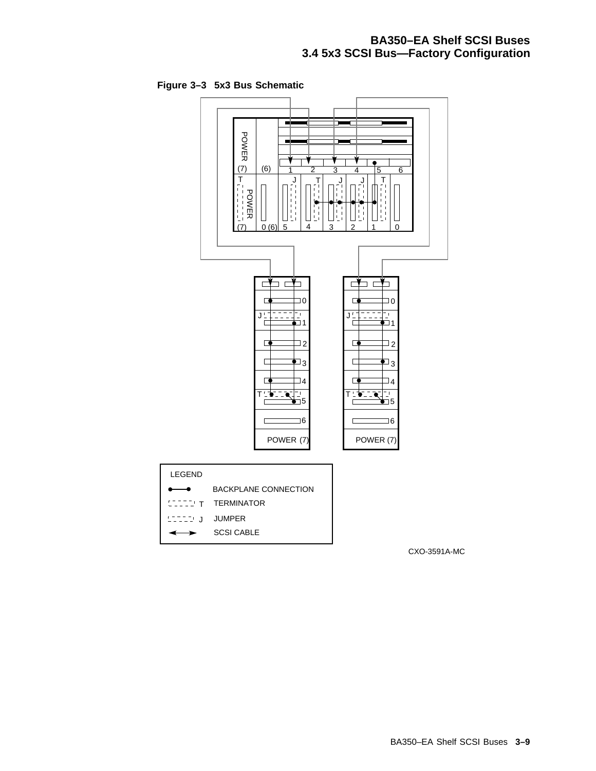# **BA350–EA Shelf SCSI Buses 3.4 5x3 SCSI Bus—Factory Configuration**

**Figure 3–3 5x3 Bus Schematic**



CXO-3591A-MC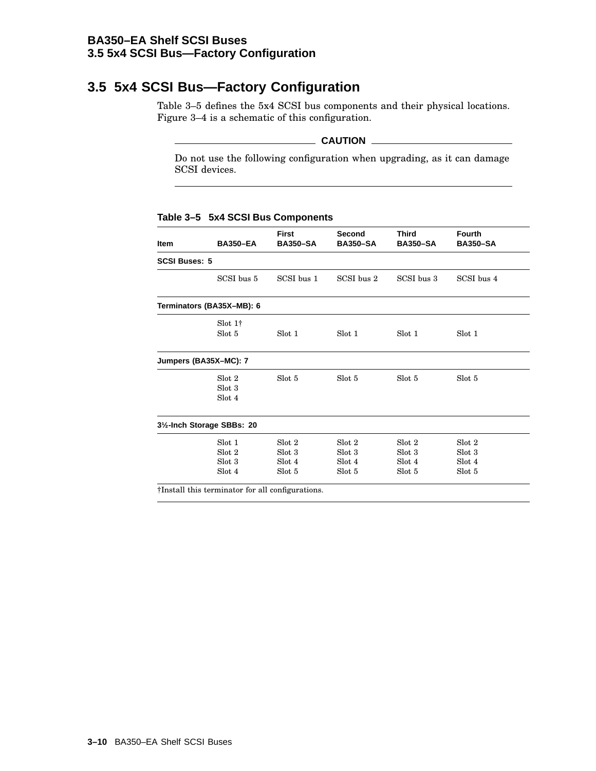### **BA350–EA Shelf SCSI Buses 3.5 5x4 SCSI Bus—Factory Configuration**

# **3.5 5x4 SCSI Bus—Factory Configuration**

Table 3–5 defines the 5x4 SCSI bus components and their physical locations. Figure 3–4 is a schematic of this configuration.

### **CAUTION**

Do not use the following configuration when upgrading, as it can damage SCSI devices.

#### **Table 3–5 5x4 SCSI Bus Components**

| <b>Item</b>          | <b>BA350-EA</b>                         | <b>First</b><br><b>BA350-SA</b> | <b>Second</b><br><b>BA350-SA</b> | <b>Third</b><br><b>BA350-SA</b> | <b>Fourth</b><br><b>BA350-SA</b> |
|----------------------|-----------------------------------------|---------------------------------|----------------------------------|---------------------------------|----------------------------------|
| <b>SCSI Buses: 5</b> |                                         |                                 |                                  |                                 |                                  |
|                      | SCSI bus 5                              | SCSI bus 1                      | SCSI bus 2                       | SCSI bus 3                      | SCSI bus 4                       |
|                      | Terminators (BA35X-MB): 6               |                                 |                                  |                                 |                                  |
|                      | $Slot 1\dagger$                         |                                 |                                  |                                 |                                  |
|                      | Slot 5                                  | Slot 1                          | Slot 1                           | Slot 1                          | Slot 1                           |
|                      | Jumpers (BA35X-MC): 7                   |                                 |                                  |                                 |                                  |
|                      | Slot 2                                  | Slot 5                          | Slot 5                           | Slot 5                          | Slot 5                           |
|                      | Slot 3                                  |                                 |                                  |                                 |                                  |
|                      | Slot 4                                  |                                 |                                  |                                 |                                  |
|                      | 31/ <sub>2</sub> -Inch Storage SBBs: 20 |                                 |                                  |                                 |                                  |
|                      | Slot 1                                  | Slot 2                          | Slot 2                           | Slot 2                          | Slot 2                           |
|                      | Slot 2                                  | Slot 3                          | Slot 3                           | Slot 3                          | Slot 3                           |
|                      | Slot 3                                  | Slot 4                          | Slot 4                           | Slot 4                          | Slot 4                           |
|                      | Slot 4                                  | Slot 5                          | Slot 5                           | Slot 5                          | Slot 5                           |
| .                    |                                         | $\sim$<br>$\cdots$              |                                  |                                 |                                  |

†Install this terminator for all configurations.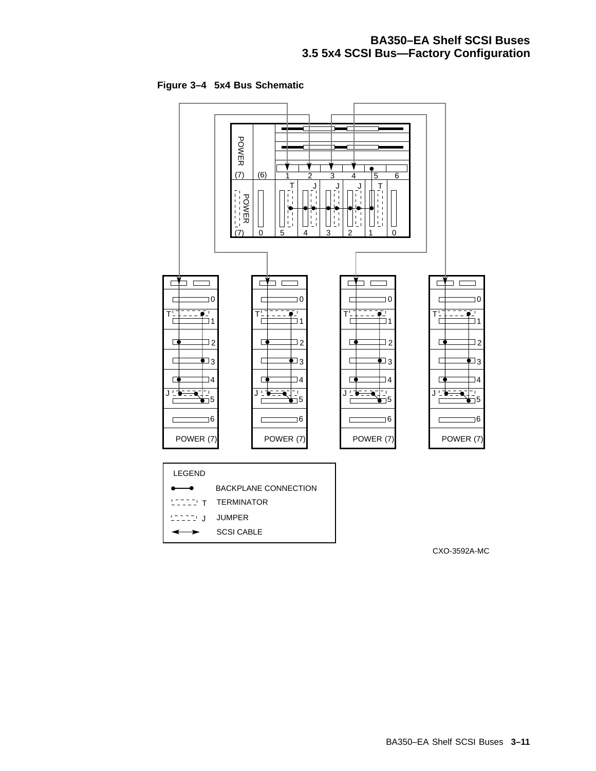# **BA350–EA Shelf SCSI Buses 3.5 5x4 SCSI Bus—Factory Configuration**

**Figure 3–4 5x4 Bus Schematic**



CXO-3592A-MC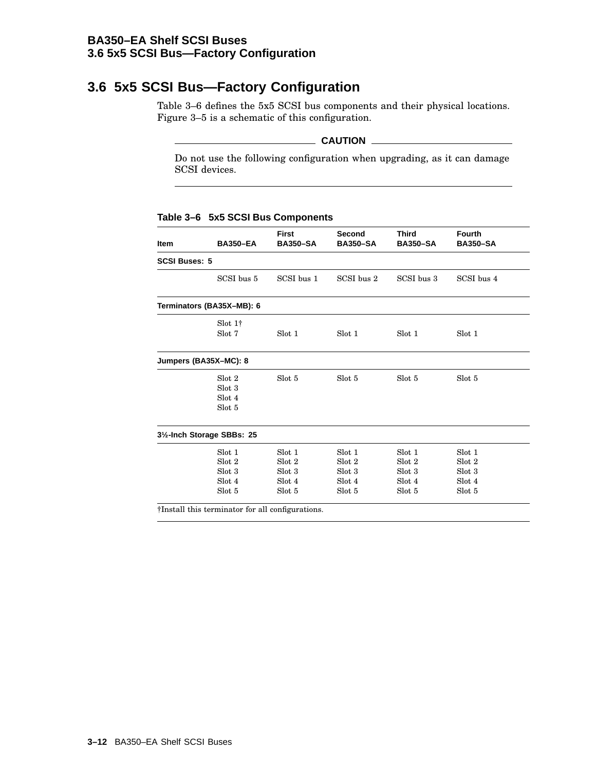### **BA350–EA Shelf SCSI Buses 3.6 5x5 SCSI Bus—Factory Configuration**

# **3.6 5x5 SCSI Bus—Factory Configuration**

Table 3–6 defines the 5x5 SCSI bus components and their physical locations. Figure 3–5 is a schematic of this configuration.

### **CAUTION**

Do not use the following configuration when upgrading, as it can damage SCSI devices.

### **Table 3–6 5x5 SCSI Bus Components**

| Item                 | <b>BA350-EA</b>                                  | <b>First</b><br><b>BA350-SA</b> | Second<br><b>BA350-SA</b> | <b>Third</b><br><b>BA350-SA</b> | <b>Fourth</b><br><b>BA350-SA</b> |
|----------------------|--------------------------------------------------|---------------------------------|---------------------------|---------------------------------|----------------------------------|
| <b>SCSI Buses: 5</b> |                                                  |                                 |                           |                                 |                                  |
|                      | SCSI bus 5                                       | SCSI bus 1                      | SCSI bus 2                | SCSI bus 3                      | SCSI bus 4                       |
|                      | Terminators (BA35X-MB): 6                        |                                 |                           |                                 |                                  |
|                      | $Slot 1\dagger$                                  |                                 |                           |                                 |                                  |
|                      | Slot 7                                           | Slot 1                          | Slot 1                    | Slot 1                          | Slot 1                           |
|                      | Jumpers (BA35X-MC): 8                            |                                 |                           |                                 |                                  |
|                      | Slot 2                                           | Slot 5                          | Slot 5                    | Slot 5                          | Slot 5                           |
|                      | Slot 3                                           |                                 |                           |                                 |                                  |
|                      | Slot 4                                           |                                 |                           |                                 |                                  |
|                      | Slot 5                                           |                                 |                           |                                 |                                  |
|                      | 31/2-Inch Storage SBBs: 25                       |                                 |                           |                                 |                                  |
|                      | Slot 1                                           | Slot 1                          | Slot 1                    | Slot 1                          | Slot 1                           |
|                      | Slot 2                                           | Slot 2                          | Slot 2                    | Slot 2                          | Slot 2                           |
|                      | Slot 3                                           | Slot 3                          | Slot 3                    | Slot 3                          | Slot 3                           |
|                      | Slot 4                                           | Slot 4                          | Slot 4                    | Slot 4                          | Slot 4                           |
|                      | Slot 5                                           | Slot 5                          | Slot 5                    | Slot 5                          | Slot 5                           |
|                      | †Install this terminator for all configurations. |                                 |                           |                                 |                                  |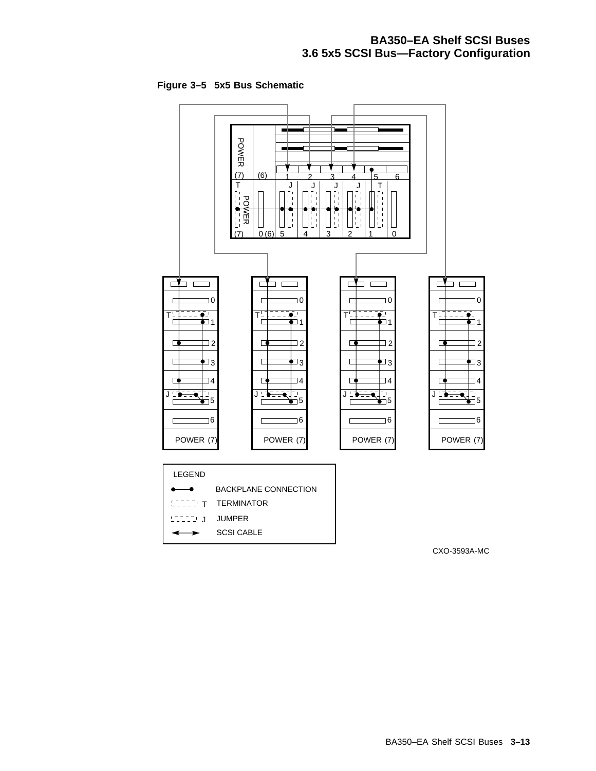# **BA350–EA Shelf SCSI Buses 3.6 5x5 SCSI Bus—Factory Configuration**

**Figure 3–5 5x5 Bus Schematic**



CXO-3593A-MC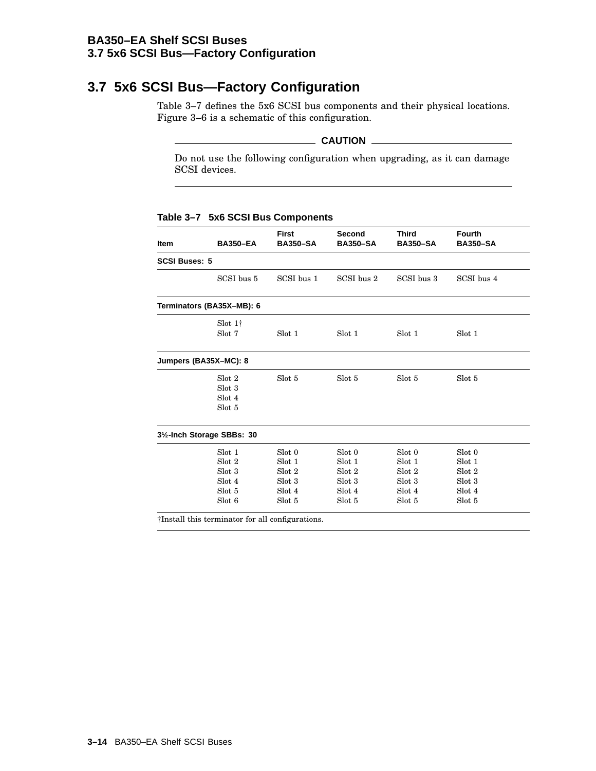### **BA350–EA Shelf SCSI Buses 3.7 5x6 SCSI Bus—Factory Configuration**

# **3.7 5x6 SCSI Bus—Factory Configuration**

Table 3–7 defines the 5x6 SCSI bus components and their physical locations. Figure 3–6 is a schematic of this configuration.

### **CAUTION**

Do not use the following configuration when upgrading, as it can damage SCSI devices.

| Table 3-7 5x6 SCSI Bus Components |  |  |
|-----------------------------------|--|--|
|                                   |  |  |

| Item                 | <b>BA350-EA</b>                                  | <b>First</b><br><b>BA350-SA</b> | <b>Second</b><br><b>BA350-SA</b> | <b>Third</b><br><b>BA350-SA</b> | <b>Fourth</b><br><b>BA350-SA</b> |
|----------------------|--------------------------------------------------|---------------------------------|----------------------------------|---------------------------------|----------------------------------|
| <b>SCSI Buses: 5</b> |                                                  |                                 |                                  |                                 |                                  |
|                      | SCSI bus 5                                       | SCSI bus 1                      | SCSI bus 2                       | SCSI bus 3                      | SCSI bus 4                       |
|                      | Terminators (BA35X-MB): 6                        |                                 |                                  |                                 |                                  |
|                      | $Slot 1\dagger$                                  |                                 |                                  |                                 |                                  |
|                      | Slot 7                                           | Slot 1                          | Slot 1                           | Slot 1                          | Slot 1                           |
|                      | Jumpers (BA35X-MC): 8                            |                                 |                                  |                                 |                                  |
|                      | Slot 2                                           | Slot 5                          | Slot 5                           | Slot 5                          | Slot 5                           |
|                      | Slot 3                                           |                                 |                                  |                                 |                                  |
|                      | Slot 4                                           |                                 |                                  |                                 |                                  |
|                      | Slot 5                                           |                                 |                                  |                                 |                                  |
|                      | 31/2-Inch Storage SBBs: 30                       |                                 |                                  |                                 |                                  |
|                      | Slot 1                                           | Slot 0                          | Slot 0                           | Slot 0                          | Slot 0                           |
|                      | Slot 2                                           | Slot 1                          | Slot 1                           | Slot 1                          | Slot 1                           |
|                      | Slot 3                                           | Slot 2                          | Slot 2                           | Slot 2                          | Slot 2                           |
|                      | Slot 4                                           | Slot 3                          | Slot 3                           | Slot 3                          | Slot 3                           |
|                      | Slot 5                                           | Slot 4                          | Slot 4                           | Slot 4                          | Slot 4                           |
|                      | Slot 6                                           | Slot 5                          | Slot 5                           | Slot 5                          | Slot 5                           |
|                      | †Install this terminator for all configurations. |                                 |                                  |                                 |                                  |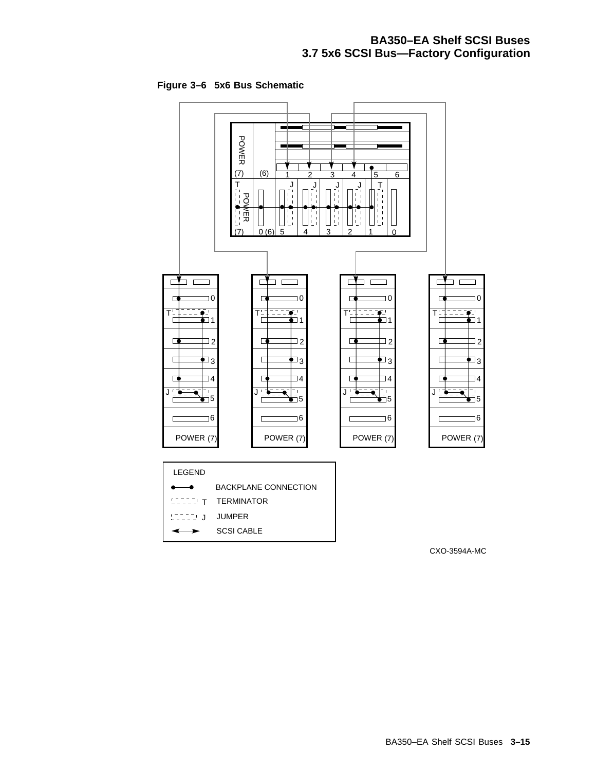# **BA350–EA Shelf SCSI Buses 3.7 5x6 SCSI Bus—Factory Configuration**

**Figure 3–6 5x6 Bus Schematic**



CXO-3594A-MC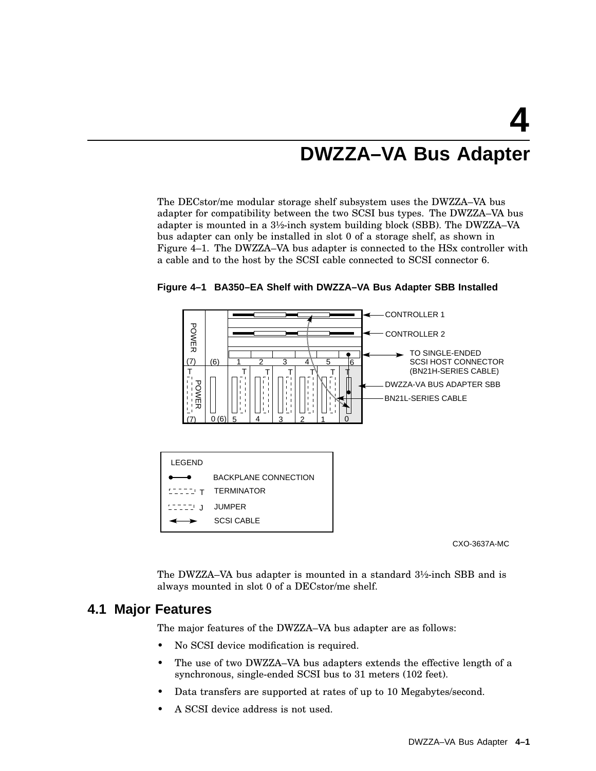# **4 DWZZA–VA Bus Adapter**

The DECstor/me modular storage shelf subsystem uses the DWZZA–VA bus adapter for compatibility between the two SCSI bus types. The DWZZA–VA bus adapter is mounted in a 3½-inch system building block (SBB). The DWZZA–VA bus adapter can only be installed in slot 0 of a storage shelf, as shown in Figure 4–1. The DWZZA–VA bus adapter is connected to the HSx controller with a cable and to the host by the SCSI cable connected to SCSI connector 6.



**Figure 4–1 BA350–EA Shelf with DWZZA–VA Bus Adapter SBB Installed**

CXO-3637A-MC

The DWZZA–VA bus adapter is mounted in a standard 3½-inch SBB and is always mounted in slot 0 of a DECstor/me shelf.

# **4.1 Major Features**

The major features of the DWZZA–VA bus adapter are as follows:

- No SCSI device modification is required.
- The use of two DWZZA–VA bus adapters extends the effective length of a synchronous, single-ended SCSI bus to 31 meters (102 feet).
- Data transfers are supported at rates of up to 10 Megabytes/second.
- A SCSI device address is not used.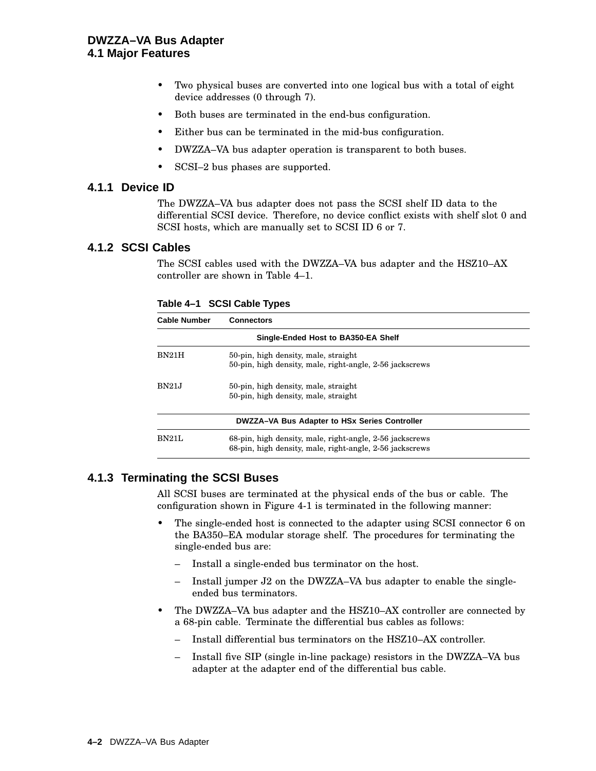- Two physical buses are converted into one logical bus with a total of eight device addresses (0 through 7).
- Both buses are terminated in the end-bus configuration.
- Either bus can be terminated in the mid-bus configuration.
- DWZZA–VA bus adapter operation is transparent to both buses.
- SCSI-2 bus phases are supported.

### **4.1.1 Device ID**

The DWZZA–VA bus adapter does not pass the SCSI shelf ID data to the differential SCSI device. Therefore, no device conflict exists with shelf slot 0 and SCSI hosts, which are manually set to SCSI ID 6 or 7.

# **4.1.2 SCSI Cables**

The SCSI cables used with the DWZZA–VA bus adapter and the HSZ10–AX controller are shown in Table 4–1.

| <b>Cable Number</b> | <b>Connectors</b>                                                                                                    |  |  |
|---------------------|----------------------------------------------------------------------------------------------------------------------|--|--|
|                     | Single-Ended Host to BA350-EA Shelf                                                                                  |  |  |
| <b>BN21H</b>        | 50-pin, high density, male, straight<br>50-pin, high density, male, right-angle, 2-56 jackscrews                     |  |  |
| <b>BN21J</b>        | 50-pin, high density, male, straight<br>50-pin, high density, male, straight                                         |  |  |
|                     | DWZZA-VA Bus Adapter to HSx Series Controller                                                                        |  |  |
| <b>BN21L</b>        | 68-pin, high density, male, right-angle, 2-56 jackscrews<br>68-pin, high density, male, right-angle, 2-56 jackscrews |  |  |

**Table 4–1 SCSI Cable Types**

### **4.1.3 Terminating the SCSI Buses**

All SCSI buses are terminated at the physical ends of the bus or cable. The configuration shown in Figure 4-1 is terminated in the following manner:

- The single-ended host is connected to the adapter using SCSI connector 6 on the BA350–EA modular storage shelf. The procedures for terminating the single-ended bus are:
	- Install a single-ended bus terminator on the host.
	- Install jumper J2 on the DWZZA–VA bus adapter to enable the singleended bus terminators.
- The DWZZA–VA bus adapter and the HSZ10–AX controller are connected by a 68-pin cable. Terminate the differential bus cables as follows:
	- Install differential bus terminators on the HSZ10–AX controller.
	- Install five SIP (single in-line package) resistors in the DWZZA–VA bus adapter at the adapter end of the differential bus cable.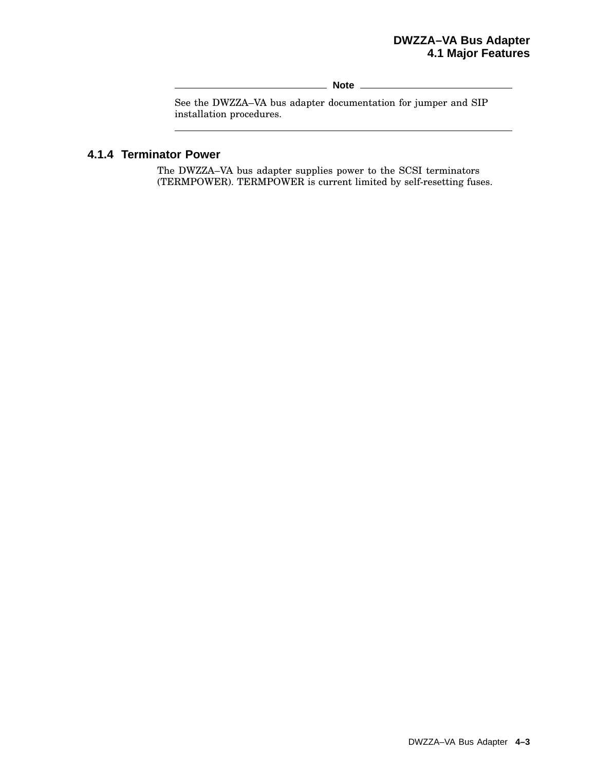# **DWZZA–VA Bus Adapter 4.1 Major Features**

**Note**

See the DWZZA–VA bus adapter documentation for jumper and SIP installation procedures.

# **4.1.4 Terminator Power**

 $\overline{a}$ 

The DWZZA–VA bus adapter supplies power to the SCSI terminators (TERMPOWER). TERMPOWER is current limited by self-resetting fuses.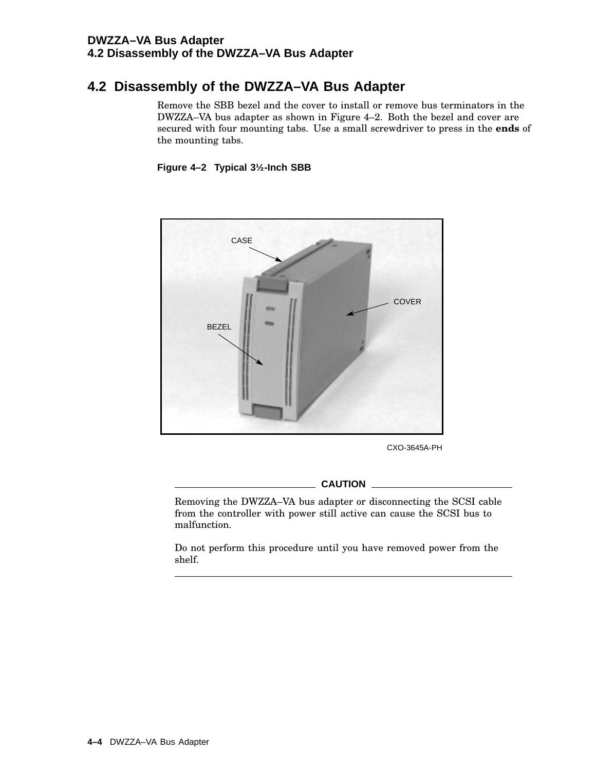# **DWZZA–VA Bus Adapter 4.2 Disassembly of the DWZZA–VA Bus Adapter**

# **4.2 Disassembly of the DWZZA–VA Bus Adapter**

Remove the SBB bezel and the cover to install or remove bus terminators in the DWZZA–VA bus adapter as shown in Figure 4–2. Both the bezel and cover are secured with four mounting tabs. Use a small screwdriver to press in the **ends** of the mounting tabs.

### **Figure 4–2 Typical 3½-Inch SBB**



CXO-3645A-PH

**CAUTION**

Removing the DWZZA–VA bus adapter or disconnecting the SCSI cable from the controller with power still active can cause the SCSI bus to malfunction.

Do not perform this procedure until you have removed power from the shelf.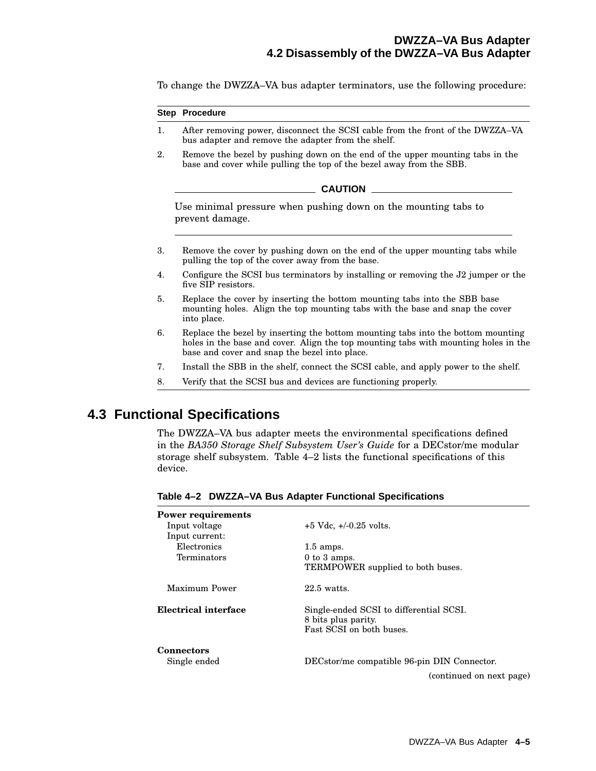To change the DWZZA–VA bus adapter terminators, use the following procedure:

#### **Step Procedure**

- 1. After removing power, disconnect the SCSI cable from the front of the DWZZA–VA bus adapter and remove the adapter from the shelf.
- 2. Remove the bezel by pushing down on the end of the upper mounting tabs in the base and cover while pulling the top of the bezel away from the SBB.

#### \_ CAUTION \_\_\_

Use minimal pressure when pushing down on the mounting tabs to prevent damage.

- 3. Remove the cover by pushing down on the end of the upper mounting tabs while pulling the top of the cover away from the base.
- 4. Configure the SCSI bus terminators by installing or removing the J2 jumper or the five SIP resistors.
- 5. Replace the cover by inserting the bottom mounting tabs into the SBB base mounting holes. Align the top mounting tabs with the base and snap the cover into place.
- 6. Replace the bezel by inserting the bottom mounting tabs into the bottom mounting holes in the base and cover. Align the top mounting tabs with mounting holes in the base and cover and snap the bezel into place.
- 7. Install the SBB in the shelf, connect the SCSI cable, and apply power to the shelf.
- 8. Verify that the SCSI bus and devices are functioning properly.

# **4.3 Functional Specifications**

The DWZZA–VA bus adapter meets the environmental specifications defined in the *BA350 Storage Shelf Subsystem User's Guide* for a DECstor/me modular storage shelf subsystem. Table 4–2 lists the functional specifications of this device.

| <b>Power requirements</b><br>Input voltage<br>Input current: | $+5$ Vdc, $+/-0.25$ volts.                                                                 |
|--------------------------------------------------------------|--------------------------------------------------------------------------------------------|
| Electronics                                                  | $1.5$ amps.                                                                                |
| Terminators                                                  | $0$ to $3$ amps.<br>TERMPOWER supplied to both buses.                                      |
| Maximum Power                                                | $22.5$ watts.                                                                              |
| Electrical interface                                         | Single-ended SCSI to differential SCSI.<br>8 bits plus parity.<br>Fast SCSI on both buses. |
| <b>Connectors</b>                                            |                                                                                            |
| Single ended                                                 | DECstor/me compatible 96-pin DIN Connector.                                                |
|                                                              | (continued on next page)                                                                   |

**Table 4–2 DWZZA–VA Bus Adapter Functional Specifications**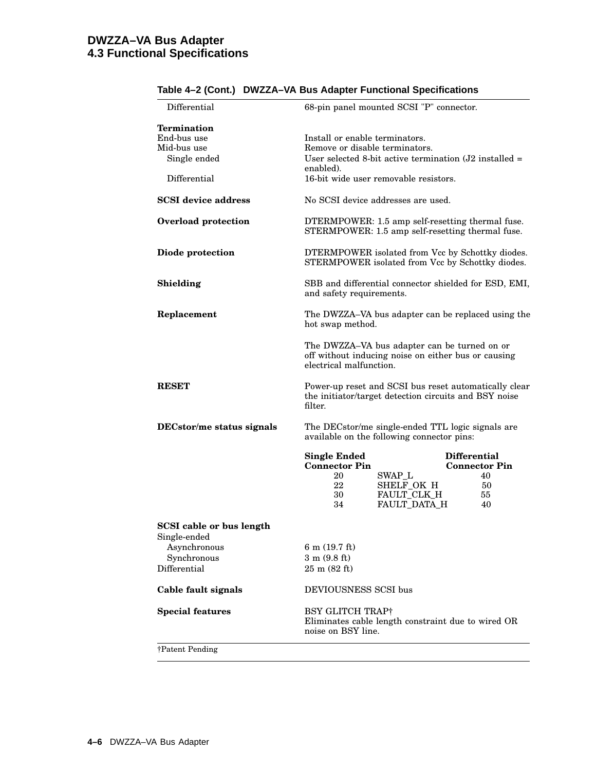| Differential                                    | 68-pin panel mounted SCSI "P" connector.                                                                                       |                                |  |  |
|-------------------------------------------------|--------------------------------------------------------------------------------------------------------------------------------|--------------------------------|--|--|
| <b>Termination</b>                              |                                                                                                                                |                                |  |  |
| End-bus use                                     | Install or enable terminators.                                                                                                 |                                |  |  |
| Mid-bus use                                     |                                                                                                                                | Remove or disable terminators. |  |  |
| Single ended                                    | User selected 8-bit active termination $(J2 \text{ installed} =$<br>enabled).                                                  |                                |  |  |
| Differential                                    | 16-bit wide user removable resistors.                                                                                          |                                |  |  |
| <b>SCSI</b> device address                      | No SCSI device addresses are used.                                                                                             |                                |  |  |
| Overload protection                             | DTERMPOWER: 1.5 amp self-resetting thermal fuse.<br>STERMPOWER: 1.5 amp self-resetting thermal fuse.                           |                                |  |  |
| Diode protection                                | DTERMPOWER isolated from Vcc by Schottky diodes.<br>STERMPOWER isolated from Vcc by Schottky diodes.                           |                                |  |  |
| Shielding                                       | SBB and differential connector shielded for ESD, EMI,<br>and safety requirements.                                              |                                |  |  |
| Replacement                                     | The DWZZA-VA bus adapter can be replaced using the<br>hot swap method.                                                         |                                |  |  |
|                                                 | The DWZZA-VA bus adapter can be turned on or<br>off without inducing noise on either bus or causing<br>electrical malfunction. |                                |  |  |
| <b>RESET</b>                                    | Power-up reset and SCSI bus reset automatically clear<br>the initiator/target detection circuits and BSY noise<br>filter.      |                                |  |  |
| DECstor/me status signals                       | The DECstor/me single-ended TTL logic signals are<br>available on the following connector pins:                                |                                |  |  |
|                                                 | <b>Single Ended</b>                                                                                                            | <b>Differential</b>            |  |  |
|                                                 | <b>Connector Pin</b>                                                                                                           | <b>Connector Pin</b>           |  |  |
|                                                 | 20<br>SWAP_L                                                                                                                   | 40                             |  |  |
|                                                 | SHELF_OK H<br>22                                                                                                               | 50                             |  |  |
|                                                 | FAULT_CLK H<br>30                                                                                                              | 55                             |  |  |
|                                                 | FAULT_DATA_H<br>34                                                                                                             | 40                             |  |  |
| <b>SCSI</b> cable or bus length<br>Single-ended |                                                                                                                                |                                |  |  |
| Asynchronous                                    | $6 \text{ m}$ (19.7 ft)                                                                                                        |                                |  |  |
| Synchronous                                     | $3 \text{ m} (9.8 \text{ ft})$                                                                                                 |                                |  |  |
| Differential                                    | $25 \text{ m} (82 \text{ ft})$                                                                                                 |                                |  |  |
| Cable fault signals                             | DEVIOUSNESS SCSI bus                                                                                                           |                                |  |  |
| <b>Special features</b>                         | BSY GLITCH TRAP†<br>Eliminates cable length constraint due to wired OR<br>noise on BSY line.                                   |                                |  |  |
| †Patent Pending                                 |                                                                                                                                |                                |  |  |

### **Table 4–2 (Cont.) DWZZA–VA Bus Adapter Functional Specifications**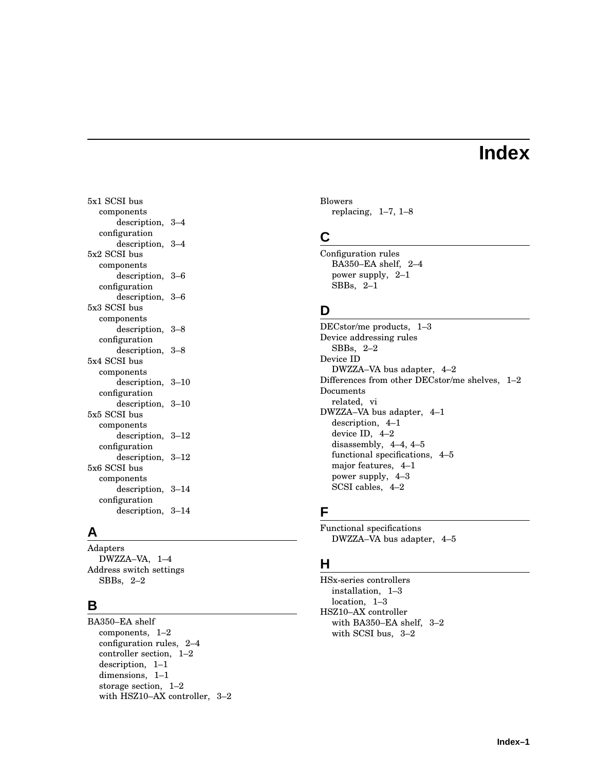# **Index**

5x1 SCSI bus components description, 3–4 configuration description, 3–4 5x2 SCSI bus components description, 3–6 configuration description, 3–6 5x3 SCSI bus components description, 3–8 configuration description, 3–8 5x4 SCSI bus components description, 3–10 configuration description, 3–10 5x5 SCSI bus components description, 3–12 configuration description, 3–12 5x6 SCSI bus components description, 3–14 configuration description, 3–14

# **A**

Adapters DWZZA–VA, 1–4 Address switch settings SBBs, 2–2

# **B**

BA350–EA shelf components, 1–2 configuration rules, 2–4 controller section, 1–2 description, 1–1 dimensions, 1–1 storage section, 1–2 with HSZ10–AX controller, 3–2 Blowers replacing, 1–7, 1–8

# **C**

Configuration rules BA350–EA shelf, 2–4 power supply, 2–1 SBBs, 2–1

# **D**

DECstor/me products, 1–3 Device addressing rules SBBs, 2–2 Device ID DWZZA–VA bus adapter, 4–2 Differences from other DECstor/me shelves, 1–2 Documents related, vi DWZZA–VA bus adapter, 4–1 description, 4–1 device ID, 4–2 disassembly, 4–4, 4–5 functional specifications, 4–5 major features, 4–1 power supply, 4–3 SCSI cables, 4–2

# **F**

Functional specifications DWZZA–VA bus adapter, 4–5

# **H**

HSx-series controllers installation, 1–3 location, 1–3 HSZ10–AX controller with BA350–EA shelf, 3–2 with SCSI bus, 3–2